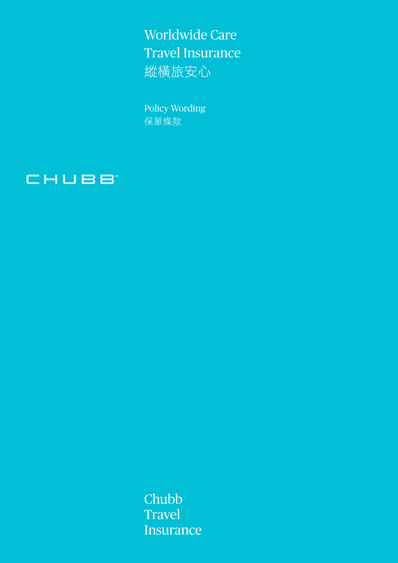Worldwide Care Travel Insurance 縱橫旅安心

Policy Wording 保單條款



Chubb **Travel Insurance**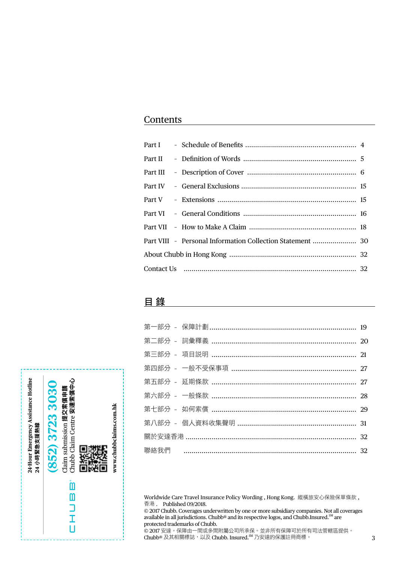## **Contents**

## 目 錄

Worldwide Care Travel Insurance Policy Wording , Hong Kong. 縱橫旅安心保險保單條款 , 香港 . Published 09/2018.

© 2017 Chubb. Coverages underwritten by one or more subsidiary companies. Not all coverages available in all jurisdictions. Chubb® and its respective logos, and Chubb.Insured.<sup>SM</sup> are protected trademarks of Chubb.

© 2017 安達。保障由一間或多間附屬公司所承保。並非所有保障可於所有司法管轄區提供。 Chubb® 及其相關標誌,以及 Chubb. Insured.SM 乃安達的保護註冊商標。 3

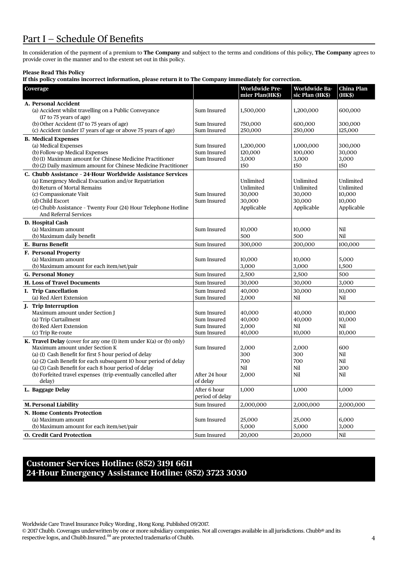## Part I - Schedule Of Benefits

In consideration of the payment of a premium to **The Company** and subject to the terms and conditions of this policy, **The Company** agrees to provide cover in the manner and to the extent set out in this policy.

## **Please Read This Policy**

**If this policy contains incorrect information, please return it to The Company immediately for correction.**

| Coverage                                                                                                    |                                 | Worldwide Pre-       | Worldwide Ba-        | <b>China Plan</b>  |
|-------------------------------------------------------------------------------------------------------------|---------------------------------|----------------------|----------------------|--------------------|
|                                                                                                             |                                 | mier Plan(HK\$)      | sic Plan (HK\$)      | (HK\$)             |
| A. Personal Accident                                                                                        |                                 |                      |                      |                    |
| (a) Accident whilst travelling on a Public Conveyance                                                       | Sum Insured                     | 1,500,000            | 1,200,000            | 600,000            |
| (17 to 75 years of age)                                                                                     |                                 |                      |                      |                    |
| (b) Other Accident (17 to 75 years of age)<br>(c) Accident (under 17 years of age or above 75 years of age) | Sum Insured<br>Sum Insured      | 750,000<br>250,000   | 600,000<br>250,000   | 300,000<br>125,000 |
|                                                                                                             |                                 |                      |                      |                    |
| <b>B. Medical Expenses</b><br>(a) Medical Expenses                                                          |                                 |                      |                      |                    |
| (b) Follow-up Medical Expenses                                                                              | Sum Insured<br>Sum Insured      | 1,200,000<br>120,000 | 1,000,000<br>100,000 | 300,000<br>30,000  |
| (b) (1) Maximum amount for Chinese Medicine Practitioner                                                    | Sum Insured                     | 3,000                | 3,000                | 3,000              |
| (b) (2) Daily maximum amount for Chinese Medicine Practitioner                                              |                                 | 150                  | 150                  | 150                |
| C. Chubb Assistance - 24 Hour Worldwide Assistance Services                                                 |                                 |                      |                      |                    |
| (a) Emergency Medical Evacuation and/or Repatriation                                                        |                                 | Unlimited            | Unlimited            | Unlimited          |
| (b) Return of Mortal Remains                                                                                |                                 | Unlimited            | Unlimited            | Unlimited          |
| (c) Compassionate Visit                                                                                     | Sum Insured                     | 30,000               | 30,000               | 10,000             |
| (d) Child Escort                                                                                            | Sum Insured                     | 30,000               | 30,000               | 10,000             |
| (e) Chubb Assistance - Twenty Four (24) Hour Telephone Hotline                                              |                                 | Applicable           | Applicable           | Applicable         |
| And Referral Services                                                                                       |                                 |                      |                      |                    |
| D. Hospital Cash                                                                                            |                                 |                      |                      |                    |
| (a) Maximum amount                                                                                          | Sum Insured                     | 10.000               | 10,000               | Nil                |
| (b) Maximum daily benefit                                                                                   |                                 | 500                  | 500                  | Nil                |
| E. Burns Benefit                                                                                            | Sum Insured                     | 300,000              | 200,000              | 100.000            |
| F. Personal Property                                                                                        |                                 |                      |                      |                    |
| (a) Maximum amount                                                                                          | Sum Insured                     | 10,000               | 10,000               | 5,000              |
| (b) Maximum amount for each item/set/pair                                                                   |                                 | 3,000                | 3,000                | 1,500              |
| <b>G. Personal Money</b>                                                                                    | Sum Insured                     | 2,500                | 2,500                | 500                |
| <b>H. Loss of Travel Documents</b>                                                                          | Sum Insured                     | 30,000               | 30,000               | 3,000              |
| I. Trip Cancellation                                                                                        | Sum Insured                     | 40,000               | 30,000               | 10,000             |
| (a) Red Alert Extension                                                                                     | Sum Insured                     | 2,000                | Nil                  | Nil                |
| J. Trip Interruption                                                                                        |                                 |                      |                      |                    |
| Maximum amount under Section J                                                                              | Sum Insured                     | 40,000               | 40,000               | 10,000             |
| (a) Trip Curtailment                                                                                        | Sum Insured                     | 40,000               | 40,000               | 10,000             |
| (b) Red Alert Extension                                                                                     | Sum Insured                     | 2,000                | Nil                  | Nil                |
| (c) Trip Re-route                                                                                           | Sum Insured                     | 40,000               | 10,000               | 10,000             |
| <b>K. Travel Delay</b> (cover for any one (1) item under $K(a)$ or (b) only)                                |                                 |                      |                      |                    |
| Maximum amount under Section K                                                                              | Sum Insured                     | 2,000                | 2,000                | 600                |
| (a) (1) Cash Benefit for first 5 hour period of delay                                                       |                                 | 300                  | 300                  | Nil                |
| (a) (2) Cash Benefit for each subsequent 10 hour period of delay                                            |                                 | 700                  | 700                  | Nil                |
| (a) (3) Cash Benefit for each 8 hour period of delay                                                        |                                 | Nil                  | Nil                  | 200                |
| (b) Forfeited travel expenses (trip eventually cancelled after                                              | After 24 hour<br>of delay       | 2,000                | Nil                  | Nil                |
| delay)                                                                                                      |                                 |                      |                      |                    |
| L. Baggage Delay                                                                                            | After 6 hour<br>period of delay | 1,000                | 1,000                | 1,000              |
| <b>M. Personal Liability</b>                                                                                | Sum Insured                     | 2,000,000            | 2,000,000            | 2,000,000          |
| N. Home Contents Protection                                                                                 |                                 |                      |                      |                    |
| (a) Maximum amount                                                                                          | Sum Insured                     | 25,000               | 25,000               | 6,000              |
| (b) Maximum amount for each item/set/pair                                                                   |                                 | 5,000                | 5,000                | 3,000              |
| <b>O.</b> Credit Card Protection                                                                            | Sum Insured                     | 20,000               | 20,000               | Nil                |

## **Customer Services Hotline: (852) 3191 6611 24-Hour Emergency Assistance Hotline: (852) 3723 3030**

Worldwide Care Travel Insurance Policy Wording , Hong Kong. Published 09/2017.

© 2017 Chubb. Coverages underwritten by one or more subsidiary companies. Not all coverages available in all jurisdictions. Chubb® and its respective logos, and Chubb.Insured.<sup>SM</sup> are protected trademarks of Chubb.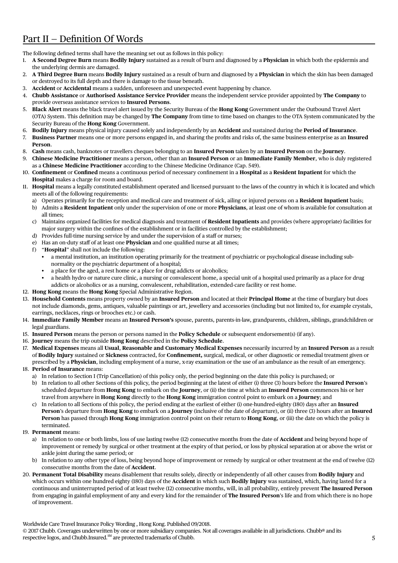## Part II — Definition Of Words

The following defined terms shall have the meaning set out as follows in this policy:

- 1. **A Second Degree Burn** means **Bodily Injury** sustained as a result of burn and diagnosed by a **Physician** in which both the epidermis and the underlying dermis are damaged.
- 2. **A Third Degree Burn** means **Bodily Injury** sustained as a result of burn and diagnosed by a **Physician** in which the skin has been damaged or destroyed to its full depth and there is damage to the tissue beneath.
- 3. **Accident** or **Accidental** means a sudden, unforeseen and unexpected event happening by chance.
- 4. **Chubb Assistance** or **Authorised Assistance Service Provider** means the independent service provider appointed by **The Company** to provide overseas assistance services to **Insured Persons**.
- 5. **Black Alert** means the black travel alert issued by the Security Bureau of the **Hong Kong** Government under the Outbound Travel Alert (OTA) System. This definition may be changed by **The Company** from time to time based on changes to the OTA System communicated by the Security Bureau of the **Hong Kong** Government.
- 6. **Bodily Injury** means physical injury caused solely and independently by an **Accident** and sustained during the **Period of Insurance**.
- 7. **Business Partner** means one or more persons engaged in, and sharing the profits and risks of, the same business enterprise as an **Insured Person**.
- 8. **Cash** means cash, banknotes or travellers cheques belonging to an **Insured Person** taken by an **Insured Person** on the **Journey**.
- 9. **Chinese Medicine Practitioner** means a person, other than an **Insured Person** or an **Immediate Family Member**, who is duly registered as a **Chinese Medicine Practitioner** according to the Chinese Medicine Ordinance (Cap. 549).
- 10. **Confinement** or **Confined** means a continuous period of necessary confinement in a **Hospital** as a **Resident Inpatient** for which the **Hospital** makes a charge for room and board.
- 11. **Hospital** means a legally constituted establishment operated and licensed pursuant to the laws of the country in which it is located and which meets all of the following requirements:
	- a) Operates primarily for the reception and medical care and treatment of sick, ailing or injured persons on a **Resident Inpatient** basis;
	- b) Admits a **Resident Inpatient** only under the supervision of one or more **Physicians**, at least one of whom is available for consultation at all times;
	- c) Maintains organized facilities for medical diagnosis and treatment of **Resident Inpatients** and provides (where appropriate) facilities for major surgery within the confines of the establishment or in facilities controlled by the establishment;
	- d) Provides full-time nursing service by and under the supervision of a staff or nurses;
	- e) Has an on-duty staff of at least one **Physician** and one qualified nurse at all times;
	- f) "**Hospital**" shall not include the following:
		- • a mental institution, an institution operating primarily for the treatment of psychiatric or psychological disease including subnormality or the psychiatric department of a hospital;
		- a place for the aged, a rest home or a place for drug addicts or alcoholics;
		- a health hydro or nature cure clinic, a nursing or convalescent home, a special unit of a hospital used primarily as a place for drug addicts or alcoholics or as a nursing, convalescent, rehabilitation, extended-care facility or rest home.
- 12. **Hong Kong** means the **Hong Kong** Special Administrative Region.
- 13. **Household Contents** means property owned by an **Insured Person** and located at their **Principal Home** at the time of burglary but does not include diamonds, gems, antiques, valuable paintings or art, jewellery and accessories (including but not limited to, for example crystals, earrings, necklaces, rings or brooches etc.) or cash.
- 14. **Immediate Family Member** means an **Insured Person's** spouse, parents, parents-in-law, grandparents, children, siblings, grandchildren or legal guardians.
- 15. **Insured Person** means the person or persons named in the **Policy Schedule** or subsequent endorsement(s) (if any).
- 16. **Journey** means the trip outside **Hong Kong** described in the **Policy Schedule**.
- 17. **Medical Expenses** means all **Usual**, **Reasonable and Customary Medical Expenses** necessarily incurred by an **Insured Person** as a result of **Bodily Injury** sustained or **Sickness** contracted, for **Confinement,** surgical, medical, or other diagnostic or remedial treatment given or prescribed by a **Physician**, including employment of a nurse, x-ray examination or the use of an ambulance as the result of an emergency.
- 18. **Period of Insurance** means:
	- a) In relation to Section I (Trip Cancellation) of this policy only, the period beginning on the date this policy is purchased; or
	- b) In relation to all other Sections of this policy, the period beginning at the latest of either (i) three (3) hours before the **Insured Person**'s scheduled departure from **Hong Kong** to embark on the **Journey**, or (ii) the time at which an **Insured Person** commences his or her travel from anywhere in **Hong Kong** directly to the **Hong Kong** immigration control point to embark on a **Journey**; and
	- c) In relation to all Sections of this policy, the period ending at the earliest of either (i) one-hundred-eighty (180) days after an **Insured Person**'s departure from **Hong Kong** to embark on a **Journey** (inclusive of the date of departure), or (ii) three (3) hours after an **Insured Person** has passed through **Hong Kong** immigration control point on their return to **Hong Kong**, or (iii) the date on which the policy is terminated.
- 19. **Permanent** means:
	- a) In relation to one or both limbs, loss of use lasting twelve (12) consecutive months from the date of **Accident** and being beyond hope of improvement or remedy by surgical or other treatment at the expiry of that period, or loss by physical separation at or above the wrist or ankle joint during the same period; or
	- b) In relation to any other type of loss, being beyond hope of improvement or remedy by surgical or other treatment at the end of twelve (12) consecutive months from the date of **Accident**.
- 20. **Permanent Total Disability** means disablement that results solely, directly or independently of all other causes from **Bodily Injury** and which occurs within one hundred eighty (180) days of the **Accident** in which such **Bodily Injury** was sustained, which, having lasted for a continuous and uninterrupted period of at least twelve (12) consecutive months, will, in all probability, entirely prevent **The Insured Person** from engaging in gainful employment of any and every kind for the remainder of **The Insured Person**'s life and from which there is no hope of improvement.

Worldwide Care Travel Insurance Policy Wording , Hong Kong. Published 09/2018.

respective logos, and Chubb.Insured. $^{SM}$  are protected trademarks of Chubb. © 2017 Chubb. Coverages underwritten by one or more subsidiary companies. Not all coverages available in all jurisdictions. Chubb® and its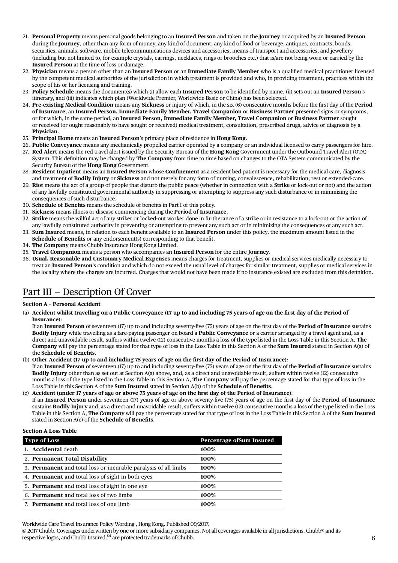- 21. **Personal Property** means personal goods belonging to an **Insured Person** and taken on the **Journey** or acquired by an **Insured Person** during the **Journey**, other than any form of money, any kind of document, any kind of food or beverage, antiques, contracts, bonds, securities, animals, software, mobile telecommunications devices and accessories, means of transport and accessories, and jewellery (including but not limited to, for example crystals, earrings, necklaces, rings or brooches etc.) that is/are not being worn or carried by the **Insured Person** at the time of loss or damage.
- 22. **Physician** means a person other than an **Insured Person** or an **Immediate Family Member** who is a qualified medical practitioner licensed by the competent medical authorities of the jurisdiction in which treatment is provided and who, in providing treatment, practices within the scope of his or her licensing and training.
- 23. **Policy Schedule** means the document(s) which (i) allow each **Insured Person** to be identified by name, (ii) sets out an **Insured Person**'s itinerary, and (iii) indicates which plan (Worldwide Premier, Worldwide Basic or China) has been selected.
- 24. **Pre-existing Medical Condition** means any **Sickness** or injury of which, in the six (6) consecutive months before the first day of the **Period of Insurance**, an **Insured Person, Immediate Family Member, Travel Companion** or **Business Partner** presented signs or symptoms, or for which, in the same period, an **Insured Person, Immediate Family Member, Travel Companion** or **Business Partner** sought or received (or ought reasonably to have sought or received) medical treatment, consultation, prescribed drugs, advice or diagnosis by a **Physician**.
- 25. **Principal Home** means an **Insured Person**'s primary place of residence in **Hong Kong**.
- 26. **Public Conveyance** means any mechanically propelled carrier operated by a company or an individual licensed to carry passengers for hire.
- 27. **Red Alert** means the red travel alert issued by the Security Bureau of the **Hong Kong** Government under the Outbound Travel Alert (OTA) System. This definition may be changed by **The Company** from time to time based on changes to the OTA System communicated by the Security Bureau of the **Hong Kong** Government.
- 28. **Resident Inpatient** means an **Insured Person** whose **Confinement** as a resident bed patient is necessary for the medical care, diagnosis and treatment of **Bodily Injury** or **Sickness** and not merely for any form of nursing, convalescence, rehabilitation, rest or extended-care.
- 29. **Riot** means the act of a group of people that disturb the public peace (whether in connection with a **Strike** or lock-out or not) and the action of any lawfully constituted governmental authority in suppressing or attempting to suppress any such disturbance or in minimizing the consequences of such disturbance.
- 30. **Schedule of Benefits** means the schedule of benefits in Part I of this policy.
- 31. **Sickness** means illness or disease commencing during the **Period of Insurance**.
- 32. **Strike** means the willful act of any striker or locked-out worker done in furtherance of a strike or in resistance to a lock-out or the action of any lawfully constituted authority in preventing or attempting to prevent any such act or in minimizing the consequences of any such act.
- 33. **Sum Insured** means, in relation to each benefit available to an **Insured Person** under this policy, the maximum amount listed in the
- **Schedule of Benefits** or any endorsement(s) corresponding to that benefit.
- 34. **The Company** means Chubb Insurance Hong Kong Limited.
- 35. **Travel Companion** means a person who accompanies an **Insured Person** for the entire **Journey**.
- 36. **Usual, Reasonable and Customary Medical Expenses** means charges for treatment, supplies or medical services medically necessary to treat an **Insured Person**'s condition and which do not exceed the usual level of charges for similar treatment, supplies or medical services in the locality where the charges are incurred. Charges that would not have been made if no insurance existed are excluded from this definition.

## Part III — Description Of Cover

### **Section A – Personal Accident**

(a) **Accident whilst travelling on a Public Conveyance (17 up to and including 75 years of age on the first day of the Period of Insurance)**:

 If an **Insured Person** of seventeen (17) up to and including seventy-five (75) years of age on the first day of the **Period of Insurance** sustains **Bodily Injury** while travelling as a fare-paying passenger on board a **Public Conveyance** or a carrier arranged by a travel agent and, as a direct and unavoidable result, suffers within twelve (12) consecutive months a loss of the type listed in the Loss Table in this Section A, **The Company** will pay the percentage stated for that type of loss in the Loss Table in this Section A of the **Sum Insured** stated in Section A(a) of the **Schedule of Benefits**.

(b) **Other Accident (17 up to and including 75 years of age on the first day of the Period of Insurance)**:

 If an **Insured Person** of seventeen (17) up to and including seventy-five (75) years of age on the first day of the **Period of Insurance** sustains **Bodily Injury** other than as set out at Section A(a) above, and, as a direct and unavoidable result, suffers within twelve (12) consecutive months a loss of the type listed in the Loss Table in this Section A, **The Company** will pay the percentage stated for that type of loss in the Loss Table in this Section A of the **Sum Insured** stated in Section A(b) of the **Schedule of Benefits**.

(c) **Accident (under 17 years of age or above 75 years of age on the first day of the Period of Insurance)**: If an **Insured Person** under seventeen (17) years of age or above seventy-five (75) years of age on the first day of the **Period of Insurance** sustains **Bodily Injury** and, as a direct and unavoidable result, suffers within twelve (12) consecutive months a loss of the type listed in the Loss Table in this Section A, **The Company** will pay the percentage stated for that type of loss in the Loss Table in this Section A of the **Sum Insured** stated in Section A(c) of the **Schedule of Benefits**.

## **Section A Loss Table**

| <b>Type of Loss</b>                                                    | Percentage of Sum Insured |
|------------------------------------------------------------------------|---------------------------|
| 1. <b>Accidental</b> death                                             | 100%                      |
| 2. Permanent Total Disability                                          | 100%                      |
| 3. <b>Permanent</b> and total loss or incurable paralysis of all limbs | 100%                      |
| 4. Permanent and total loss of sight in both eyes                      | 100%                      |
| 5. <b>Permanent</b> and total loss of sight in one eye                 | 100%                      |
| 6. Permanent and total loss of two limbs                               | 100%                      |
| 7. Permanent and total loss of one limb                                | 100%                      |

Worldwide Care Travel Insurance Policy Wording , Hong Kong. Published 09/2017.

<sup>© 2017</sup> Chubb. Coverages underwritten by one or more subsidiary companies. Not all coverages available in all jurisdictions. Chubb® and its respective logos, and Chubb.Insured.<sup>SM</sup> are protected trademarks of Chubb.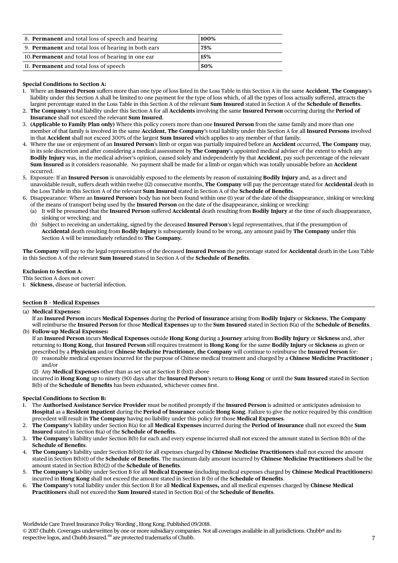| 8. <b>Permanent</b> and total loss of speech and hearing   | 100% |
|------------------------------------------------------------|------|
| 9. <b>Permanent</b> and total loss of hearing in both ears | 75%  |
| 10. <b>Permanent</b> and total loss of hearing in one ear  | 15%  |
| 11. <b>Permanent</b> and total loss of speech              | 50%  |

## **Special Conditions to Section A:**

- 1. Where an **Insured Person** suffers more than one type of loss listed in the Loss Table in this Section A in the same **Accident**, **The Company**'s liability under this Section A shall be limited to one payment for the type of loss which, of all the types of loss actually suffered, attracts the largest percentage stated in the Loss Table in this Section A of the relevant **Sum Insured** stated in Section A of the **Schedule of Benefits**.
- 2. **The Company**'s total liability under this Section A for all **Accidents** involving the same **Insured Person** occurring during the **Period of Insurance** shall not exceed the relevant **Sum Insured**.
- 3. **(Applicable to Family Plan only)** Where this policy covers more than one **Insured Person** from the same family and more than one member of that family is involved in the same **Accident**, **The Company**'s total liability under this Section A for all **Insured Persons** involved in that **Accident** shall not exceed 300% of the largest **Sum Insured** which applies to any member of that family.
- 4. Where the use or enjoyment of an **Insured Person**'s limb or organ was partially impaired before an **Accident** occurred, **The Company** may, in its sole discretion and after considering a medical assessment by **The Company**'s appointed medical adviser of the extent to which any **Bodily Injury** was, in the medical adviser's opinion, caused solely and independently by that **Accident**, pay such percentage of the relevant **Sum Insured** as it considers reasonable. No payment shall be made for a limb or organ which was totally unusable before an **Accident**  occurred.
- 5. Exposure: If an **Insured Person** is unavoidably exposed to the elements by reason of sustaining **Bodily Injury** and, as a direct and unavoidable result, suffers death within twelve (12) consecutive months, **The Company** will pay the percentage stated for **Accidental** death in the Loss Table in this Section A of the relevant **Sum Insured** stated in Section A of the **Schedule of Benefits**.
- 6. Disappearance: Where an **Insured Person**'s body has not been found within one (1) year of the date of the disappearance, sinking or wrecking of the means of transport being used by the **Insured Person** on the date of the disappearance, sinking or wrecking:
	- (a) It will be presumed that the **Insured Person** suffered **Accidental** death resulting from **Bodily Injury** at the time of such disappearance, sinking or wrecking; and
	- (b) Subject to receiving an undertaking, signed by the deceased **Insured Person**'s legal representatives, that if the presumption of **Accidental** death resulting from **Bodily Injury** is subsequently found to be wrong, any amount paid by **The Company** under this Section A will be immediately refunded to **The Company.**

**The Company** will pay to the legal representatives of the deceased **Insured Person** the percentage stated for **Accidental** death in the Loss Table in this Section A of the relevant **Sum Insured** stated in Section A of the **Schedule of Benefits**.

## **Exclusion to Section A**:

- This Section A does not cover:
- 1. **Sickness**, disease or bacterial infection.

## **Section B – Medical Expenses**

(a) **Medical Expenses:**

 If an **Insured Person** incurs **Medical Expenses** during the **Period of Insurance** arising from **Bodily Injury** or **Sickness**, **The Company** will reimburse the **Insured Person** for those **Medical Expenses** up to the **Sum Insured** stated in Section B(a) of the **Schedule of Benefits**.

(b) **Follow-up Medical Expenses:**

 If an **Insured Person** incurs **Medical Expenses** outside **Hong Kong** during a **Journey** arising from **Bodily Injury** or **Sickness** and, after returning to **Hong Kong**, that **Insured Person** still requires treatment in **Hong Kong** for the same **Bodily Injury** or **Sickness** as given or prescribed by a **Physician** and/or **Chinese Medicine Practitioner, the Company** will continue to reimburse the **Insured Person** for:

- (1) reasonable medical expenses incurred for the purpose of Chinese medical treatment and charged by a **Chinese Medicine Practitioner ;**  and/or
- (2) Any **Medical Expenses** other than as set out at Section B (b)(1) above

 incurred in **Hong Kong** up to ninety (90) days after the **Insured Person**'s return to **Hong Kong** or until the **Sum Insured** stated in Section B(b) of the **Schedule of Benefits** has been exhausted, whichever comes first.

## **Special Conditions to Section B:**

- 1. The **Authorised Assistance Service Provider** must be notified promptly if the **Insured Person** is admitted or anticipates admission to **Hospital** as a **Resident Inpatient** during the **Period of Insurance** outside **Hong Kong**. Failure to give the notice required by this condition precedent will result in **The Company** having no liability under this policy for those **Medical Expenses**.
- 2. **The Company**'s liability under Section B(a) for all **Medical Expenses** incurred during the **Period of Insurance** shall not exceed the **Sum Insured** stated in Section B(a) of the **Schedule of Benefits**.
- 3. **The Company**'s liability under Section B(b) for each and every expense incurred shall not exceed the amount stated in Section B(b) of the **Schedule of Benefits**.
- 4. **The Company**'s liability under Section B(b)(1) for all expenses charged by **Chinese Medicine Practitioners** shall not exceed the amount stated in Section B(b)(1) of the **Schedule of Benefits**. The maximum daily amount incurred by **Chinese Medicine Practitioners** shall be the amount stated in Section B(b)(2) of the **Schedule of Benefits**.
- 5. **The Company's** liability under Section B for all **Medical Expense** (including medical expenses charged by **Chinese Medical Practitioners**) incurred in **Hong Kong** shall not exceed the amount stated in Section B (b) of the **Schedule of Benefits**.
- 6. **The Company**'s total liability under this Section B for all **Medical Expenses,** and all medical expenses charged by **Chinese Medical Practitioners** shall not exceed the **Sum Insured** stated in Section B(a) of the **Schedule of Benefits**.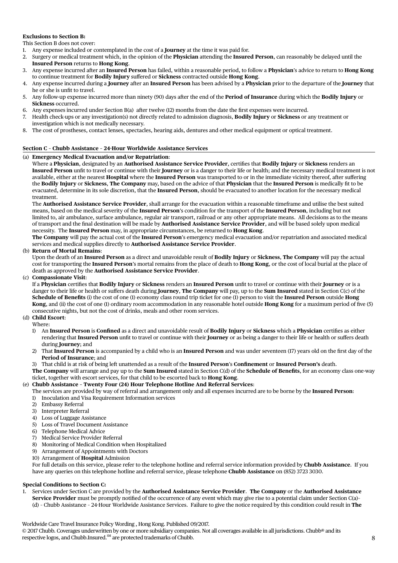## **Exclusions to Section B:**

This Section B does not cover:

- 1. Any expense included or contemplated in the cost of a **Journey** at the time it was paid for.
- 2. Surgery or medical treatment which, in the opinion of the **Physician** attending the **Insured Person**, can reasonably be delayed until the **Insured Person** returns to **Hong Kong**.
- 3. Any expense incurred after an **Insured Person** has failed, within a reasonable period, to follow a **Physician**'s advice to return to **Hong Kong** to continue treatment for **Bodily Injury** suffered or **Sickness** contracted outside **Hong Kong**.
- 4. Any expense incurred during a **Journey** after an **Insured Person** has been advised by a **Physician** prior to the departure of the **Journey** that he or she is unfit to travel.
- 5. Any follow-up expense incurred more than ninety (90) days after the end of the **Period of Insurance** during which the **Bodily Injury** or **Sickness** occurred.
- 6. Any expenses incurred under Section B(a) after twelve (12) months from the date the first expenses were incurred.
- 7. Health check-ups or any investigation(s) not directly related to admission diagnosis, **Bodily Injury** or **Sickness** or any treatment or investigation which is not medically necessary.
- 8. The cost of prostheses, contact lenses, spectacles, hearing aids, dentures and other medical equipment or optical treatment.

## **Section C – Chubb Assistance – 24-Hour Worldwide Assistance Services**

### (a) **Emergency Medical Evacuation and/or Repatriation**:

 Where a **Physician**, designated by an **Authorised Assistance Service Provider**, certifies that **Bodily Injury** or **Sickness** renders an **Insured Person** unfit to travel or continue with their **Journey** or is a danger to their life or health; and the necessary medical treatment is not available, either at the nearest **Hospital** where the **Insured Person** was transported to or in the immediate vicinity thereof, after suffering the **Bodily Injury** or **Sickness**, **The Company** may, based on the advice of that **Physician** that the **Insured Person** is medically fit to be evacuated, determine in its sole discretion, that the **Insured Person**, should be evacuated to another location for the necessary medical treatment.

 The **Authorised Assistance Service Provider**, shall arrange for the evacuation within a reasonable timeframe and utilise the best suited means, based on the medical severity of the **Insured Person**'s condition for the transport of the **Insured Person**, including but not limited to, air ambulance, surface ambulance, regular air transport, railroad or any other appropriate means. All decisions as to the means of transport and the final destination will be made by **Authorised Assistance Service Provider**, and will be based solely upon medical necessity. The **Insured Person** may, in appropriate circumstances, be returned to **Hong Kong**.

 **The Company** will pay the actual cost of the **Insured Person**'s emergency medical evacuation and/or repatriation and associated medical services and medical supplies directly to **Authorised Assistance Service Provider**.

### (b) **Return of Mortal Remains**:

 Upon the death of an **Insured Person** as a direct and unavoidable result of **Bodily Injury** or **Sickness**, **The Company** will pay the actual cost for transporting the **Insured Person**'s mortal remains from the place of death to **Hong Kong**, or the cost of local burial at the place of death as approved by the **Authorised Assistance Service Provider**.

### (c) **Compassionate Visit**:

 If a **Physician** certifies that **Bodily Injury** or **Sickness** renders an **Insured Person** unfit to travel or continue with their **Journey** or is a danger to their life or health or suffers death during **Journey**, **The Company** will pay, up to the **Sum Insured** stated in Section C(c) of the **Schedule of Benefits** (i) the cost of one (1) economy class round trip ticket for one (1) person to visit the **Insured Person** outside **Hong Kong**, and (ii) the cost of one (1) ordinary room accommodation in any reasonable hotel outside **Hong Kong** for a maximum period of five (5) consecutive nights, but not the cost of drinks, meals and other room services.

## (d) **Child Escort**:

- Where:
- 1) An **Insured Person** is **Confined** as a direct and unavoidable result of **Bodily Injury** or **Sickness** which a **Physician** certifies as either rendering that **Insured Person** unfit to travel or continue with their **Journey** or as being a danger to their life or health or suffers death during **Journey**; and
- 2) That **Insured Person** is accompanied by a child who is an **Insured Person** and was under seventeen (17) years old on the first day of the **Period of Insurance**; and
- 3) That child is at risk of being left unattended as a result of the **Insured Person**'s **Confinement** or **Insured Person's** death.
- **The Company** will arrange and pay up to the **Sum Insured** stated in Section C(d) of the **Schedule of Benefits**, for an economy class one-way ticket, together with escort services, for that child to be escorted back to **Hong Kong**.

## (e) **Chubb Assistance – Twenty Four (24) Hour Telephone Hotline And Referral Services**:

- The services are provided by way of referral and arrangement only and all expenses incurred are to be borne by the **Insured Person**: 1) Inoculation and Visa Requirement Information services
	- 2) Embassy Referral
	- 3) Interpreter Referral
	- 4) Loss of Luggage Assistance
	- 5) Loss of Travel Document Assistance
	- 6) Telephone Medical Advice
	- 7) Medical Service Provider Referral
	- 8) Monitoring of Medical Condition when Hospitalized
	- 9) Arrangement of Appointments with Doctors
	- 10) Arrangement of **Hospital** Admission

 For full details on this service, please refer to the telephone hotline and referral service information provided by **Chubb Assistance**. If you have any queries on this telephone hotline and referral service, please telephone **Chubb Assistance** on (852) 3723 3030.

## **Special Conditions to Section C:**

1. Services under Section C are provided by the **Authorised Assistance Service Provider**. **The Company** or the **Authorised Assistance Service Provider** must be promptly notified of the occurrence of any event which may give rise to a potential claim under Section C(a)–

(d) – Chubb Assistance – 24-Hour Worldwide Assistance Services. Failure to give the notice required by this condition could result in **The** 

Worldwide Care Travel Insurance Policy Wording , Hong Kong. Published 09/2017.

© 2017 Chubb. Coverages underwritten by one or more subsidiary companies. Not all coverages available in all jurisdictions. Chubb® and its respective logos, and Chubb.Insured.<sup>SM</sup> are protected trademarks of Chubb.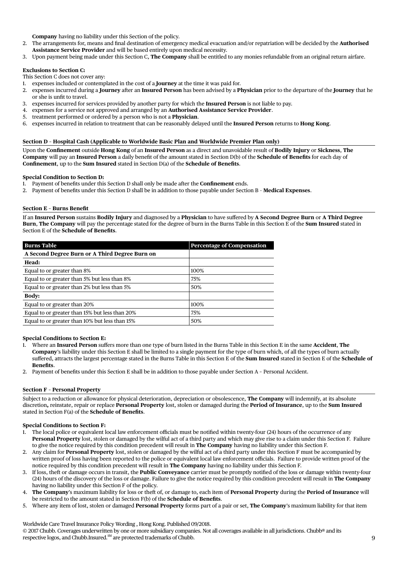**Company** having no liability under this Section of the policy.

- 2. The arrangements for, means and final destination of emergency medical evacuation and/or repatriation will be decided by the **Authorised Assistance Service Provider** and will be based entirely upon medical necessity.
- 3. Upon payment being made under this Section C, **The Company** shall be entitled to any monies refundable from an original return airfare.

## **Exclusions to Section C:**

This Section C does not cover any:

- 1. expenses included or contemplated in the cost of a **Journey** at the time it was paid for.
- 2. expenses incurred during a **Journey** after an **Insured Person** has been advised by a **Physician** prior to the departure of the **Journey** that he or she is unfit to travel.
- 3. expenses incurred for services provided by another party for which the **Insured Person** is not liable to pay.
- 4. expenses for a service not approved and arranged by an **Authorised Assistance Service Provider**.
- 5. treatment performed or ordered by a person who is not a **Physician**.
- 6. expenses incurred in relation to treatment that can be reasonably delayed until the **Insured Person** returns to **Hong Kong**.

## **Section D – Hospital Cash (Applicable to Worldwide Basic Plan and Worldwide Premier Plan only)**

Upon the **Confinement** outside **Hong Kong** of an **Insured Person** as a direct and unavoidable result of **Bodily Injury** or **Sickness**, **The Company** will pay an **Insured Person** a daily benefit of the amount stated in Section D(b) of the **Schedule of Benefits** for each day of **Confinement**, up to the **Sum Insured** stated in Section D(a) of the **Schedule of Benefits**.

### **Special Condition to Section D:**

- 1. Payment of benefits under this Section D shall only be made after the **Confinement** ends.
- 2. Payment of benefits under this Section D shall be in addition to those payable under Section B **Medical Expenses**.

### **Section E – Burns Benefit**

If an **Insured Person** sustains **Bodily Injury** and diagnosed by a **Physician** to have suffered by **A Second Degree Burn** or **A Third Degree Burn**, **The Company** will pay the percentage stated for the degree of burn in the Burns Table in this Section E of the **Sum Insured** stated in Section E of the **Schedule of Benefits**.

| <b>Burns Table</b>                             | <b>Percentage of Compensation</b> |
|------------------------------------------------|-----------------------------------|
| A Second Degree Burn or A Third Degree Burn on |                                   |
| Head:                                          |                                   |
| Equal to or greater than 8%                    | 100%                              |
| Equal to or greater than 5% but less than 8%   | 75%                               |
| Equal to or greater than 2% but less than 5%   | 50%                               |
| <b>Body:</b>                                   |                                   |
| Equal to or greater than 20%                   | 100%                              |
| Equal to or greater than 15% but less than 20% | 75%                               |
| Equal to or greater than 10% but less than 15% | 50%                               |

#### **Special Conditions to Section E:**

- 1. Where an **Insured Person** suffers more than one type of burn listed in the Burns Table in this Section E in the same **Accident**, **The Company**'s liability under this Section E shall be limited to a single payment for the type of burn which, of all the types of burn actually suffered, attracts the largest percentage stated in the Burns Table in this Section E of the **Sum Insured** stated in Section E of the **Schedule of Benefits**.
- 2. Payment of benefits under this Section E shall be in addition to those payable under Section A Personal Accident.

#### **Section F – Personal Property**

Subject to a reduction or allowance for physical deterioration, depreciation or obsolescence, **The Company** will indemnify, at its absolute discretion**,** reinstate, repair or replace **Personal Property** lost, stolen or damaged during the **Period of Insurance**, up to the **Sum Insured** stated in Section F(a) of the **Schedule of Benefits**.

#### **Special Conditions to Section F:**

- 1. The local police or equivalent local law enforcement officials must be notified within twenty-four (24) hours of the occurrence of any **Personal Property** lost, stolen or damaged by the wilful act of a third party and which may give rise to a claim under this Section F. Failure to give the notice required by this condition precedent will result in **The Company** having no liability under this Section F.
- 2. Any claim for **Personal Property** lost, stolen or damaged by the wilful act of a third party under this Section F must be accompanied by written proof of loss having been reported to the police or equivalent local law enforcement officials. Failure to provide written proof of the notice required by this condition precedent will result in **The Company** having no liability under this Section F.
- 3. If loss, theft or damage occurs in transit, the **Public Conveyance** carrier must be promptly notified of the loss or damage within twenty-four (24) hours of the discovery of the loss or damage. Failure to give the notice required by this condition precedent will result in **The Company**  having no liability under this Section F of the policy.
- 4. **The Company**'s maximum liability for loss or theft of, or damage to, each item of **Personal Property** during the **Period of Insurance** will be restricted to the amount stated in Section F(b) of the **Schedule of Benefits**.
- 5. Where any item of lost, stolen or damaged **Personal Property** forms part of a pair or set, **The Company**'s maximum liability for that item

respective logos, and Chubb.Insured.<sup>SM</sup> are protected trademarks of Chubb.  $9$ Worldwide Care Travel Insurance Policy Wording , Hong Kong. Published 09/2018. © 2017 Chubb. Coverages underwritten by one or more subsidiary companies. Not all coverages available in all jurisdictions. Chubb® and its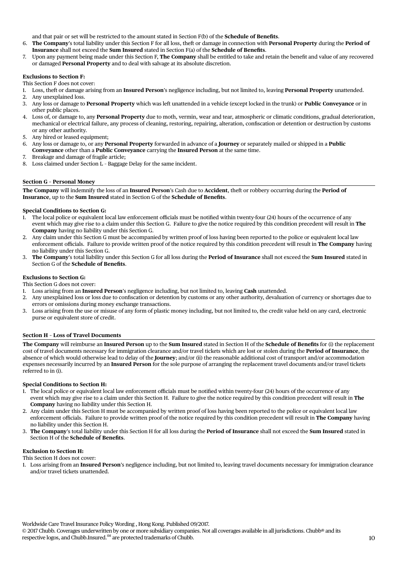and that pair or set will be restricted to the amount stated in Section F(b) of the **Schedule of Benefits**.

- 6. **The Company**'s total liability under this Section F for all loss, theft or damage in connection with **Personal Property** during the **Period of Insurance** shall not exceed the **Sum Insured** stated in Section F(a) of the **Schedule of Benefits**.
- 7. Upon any payment being made under this Section F, **The Company** shall be entitled to take and retain the benefit and value of any recovered or damaged **Personal Property** and to deal with salvage at its absolute discretion.

## **Exclusions to Section F:**

This Section F does not cover:

- 1. Loss, theft or damage arising from an **Insured Person**'s negligence including, but not limited to, leaving **Personal Property** unattended.
- Any unexplained loss.
- 3. Any loss or damage to **Personal Property** which was left unattended in a vehicle (except locked in the trunk) or **Public Conveyance** or in other public places.
- 4. Loss of, or damage to, any **Personal Property** due to moth, vermin, wear and tear, atmospheric or climatic conditions, gradual deterioration, mechanical or electrical failure, any process of cleaning, restoring, repairing, alteration, confiscation or detention or destruction by customs or any other authority.
- 5. Any hired or leased equipment;
- 6. Any loss or damage to, or any **Personal Property** forwarded in advance of a **Journey** or separately mailed or shipped in a **Public Conveyance** other than a **Public Conveyance** carrying the **Insured Person** at the same time.
- 7. Breakage and damage of fragile article;
- 8. Loss claimed under Section L Baggage Delay for the same incident.

### **Section G – Personal Money**

**The Company** will indemnify the loss of an **Insured Person**'s Cash due to **Accident**, theft or robbery occurring during the **Period of Insurance**, up to the **Sum Insured** stated in Section G of the **Schedule of Benefits**.

### **Special Conditions to Section G:**

- 1. The local police or equivalent local law enforcement officials must be notified within twenty-four (24) hours of the occurrence of any event which may give rise to a claim under this Section G. Failure to give the notice required by this condition precedent will result in **The Company** having no liability under this Section G.
- 2. Any claim under this Section G must be accompanied by written proof of loss having been reported to the police or equivalent local law enforcement officials. Failure to provide written proof of the notice required by this condition precedent will result in **The Company** having no liability under this Section G.
- 3. **The Company**'s total liability under this Section G for all loss during the **Period of Insurance** shall not exceed the **Sum Insured** stated in Section G of the **Schedule of Benefits**.

## **Exclusions to Section G:**

This Section G does not cover:

- 1. Loss arising from an **Insured Person**'s negligence including, but not limited to, leaving **Cash** unattended.
- 2. Any unexplained loss or loss due to confiscation or detention by customs or any other authority, devaluation of currency or shortages due to errors or omissions during money exchange transactions.
- 3. Loss arising from the use or misuse of any form of plastic money including, but not limited to, the credit value held on any card, electronic purse or equivalent store of credit.

#### **Section H – Loss of Travel Documents**

**The Company** will reimburse an **Insured Person** up to the **Sum Insured** stated in Section H of the **Schedule of Benefits** for (i) the replacement cost of travel documents necessary for immigration clearance and/or travel tickets which are lost or stolen during the **Period of Insurance**, the absence of which would otherwise lead to delay of the **Journey**; and/or (ii) the reasonable additional cost of transport and/or accommodation expenses necessarily incurred by an **Insured Person** for the sole purpose of arranging the replacement travel documents and/or travel tickets referred to in (i).

### **Special Conditions to Section H:**

- 1. The local police or equivalent local law enforcement officials must be notified within twenty-four (24) hours of the occurrence of any event which may give rise to a claim under this Section H. Failure to give the notice required by this condition precedent will result in **The Company** having no liability under this Section H.
- 2. Any claim under this Section H must be accompanied by written proof of loss having been reported to the police or equivalent local law enforcement officials. Failure to provide written proof of the notice required by this condition precedent will result in **The Company** having no liability under this Section H.
- 3. **The Company**'s total liability under this Section H for all loss during the **Period of Insurance** shall not exceed the **Sum Insured** stated in Section H of the **Schedule of Benefits**.

## **Exclusion to Section H:**

This Section H does not cover:

1. Loss arising from an **Insured Person**'s negligence including, but not limited to, leaving travel documents necessary for immigration clearance and/or travel tickets unattended.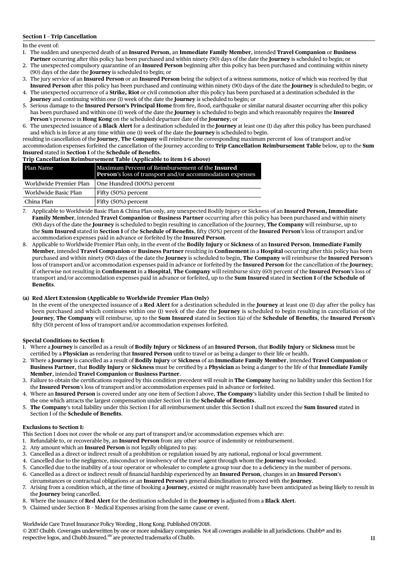## **Section I – Trip Cancellation**

In the event of:

- 1. The sudden and unexpected death of an **Insured Person**, an **Immediate Family Member**, intended **Travel Companion** or **Business Partner** occurring after this policy has been purchased and within ninety (90) days of the date the **Journey** is scheduled to begin; or
- 2. The unexpected compulsory quarantine of an **Insured Person** beginning after this policy has been purchased and continuing within ninety (90) days of the date the **Journey** is scheduled to begin; or
- 3. The jury service of an **Insured Person** or an **Insured Person** being the subject of a witness summons, notice of which was received by that **Insured Person** after this policy has been purchased and continuing within ninety (90) days of the date the **Journey** is scheduled to begin; or
- 4. The unexpected occurrence of a **Strike, Riot** or civil commotion after this policy has been purchased at a destination scheduled in the **Journey** and continuing within one (1) week of the date the **Journey** is scheduled to begin; or
- 5. Serious damage to the **Insured Person's Principal Home** from fire, flood, earthquake or similar natural disaster occurring after this policy has been purchased and within one (1) week of the date the **Journey** is scheduled to begin and which reasonably requires the **Insured Person**'s presence in **Hong Kong** on the scheduled departure date of the **Journey**; or
- 6. The unexpected issuance of a **Black Alert** for a destination scheduled in the **Journey** at least one (1) day after this policy has been purchased and which is in force at any time within one (1) week of the date the **Journey** is scheduled to begin.

resulting in cancellation of the **Journey**, **The Company** will reimburse the corresponding maximum percent of loss of transport and/or accommodation expenses forfeited the cancellation of the Journey according to **Trip Cancellation Reimbursement Table** below, up to the **Sum Insured** stated in **Section I** of the **Schedule of Benefits**.

|  | Trip Cancellation Reimbursement Table (Applicable to item 1-6 above) |  |  |
|--|----------------------------------------------------------------------|--|--|
|  |                                                                      |  |  |

| Plan Name              | $\parallel$ Maximum Percent of Reimbursement of the Insured<br><b>Person's</b> loss of transport and/or accommodation expenses |
|------------------------|--------------------------------------------------------------------------------------------------------------------------------|
| Worldwide Premier Plan | One Hundred (100%) percent                                                                                                     |
| Worldwide Basic Plan   | Fifty (50%) percent                                                                                                            |
| China Plan             | Fifty (50%) percent                                                                                                            |

- 7. Applicable to Worldwide Basic Plan & China Plan only, any unexpected Bodily Injury or Sickness of an **Insured Person, Immediate Family Member**, intended **Travel Companion** or **Business Partner** occurring after this policy has been purchased and within ninety (90) days of the date the **Journey** is scheduled to begin resulting in cancellation of the Journey, **The Company** will reimburse, up to the **Sum Insured** stated in **Section I** of the **Schedule of Benefits**, fifty (50%) percent of the **Insured Person**'s loss of transport and/or accommodation expenses paid in advance or forfeited by the **Insured Person**.
- 8. Applicable to Worldwide Premier Plan only, in the event of the **Bodily Injury** or **Sickness** of an **Insured Person**, **Immediate Family Member**, intended **Travel Companion** or **Business Partner** resulting in **Confinement** in a **Hospital** occurring after this policy has been purchased and within ninety (90) days of the date the **Journey** is scheduled to begin, **The Company** will reimburse the **Insured Person**'s loss of transport and/or accommodation expenses paid in advance or forfeited by the **Insured Person** for the cancellation of the **Journey**; if otherwise not resulting in **Confinement** in a **Hospital**, **The Company** will reimburse sixty (60) percent of the **Insured Person**'s loss of transport and/or accommodation expenses paid in advance or forfeited, up to the **Sum Insured** stated in **Section I** of **the Schedule of Benefits**.

## **(a) Red Alert Extension (Applicable to Worldwide Premier Plan Only)**

 In the event of the unexpected issuance of a **Red Alert** for a destination scheduled in the **Journey** at least one (1) day after the policy has been purchased and which continues within one (1) week of the date the **Journey** is scheduled to begin resulting in cancellation of the **Journey**, **The Company** will reimburse, up to the **Sum Insured** stated in Section I(a) of the **Schedule of Benefits**, the **Insured Person**'s fifty (50) percent of loss of transport and/or accommodation expenses forfeited.

## **Special Conditions to Section I:**

- 1. Where a **Journey** is cancelled as a result of **Bodily Injury** or **Sickness** of an **Insured Person**, that **Bodily Injury** or **Sickness** must be certified by a **Physician** as rendering that **Insured Person** unfit to travel or as being a danger to their life or health.
- 2. Where a **Journey** is cancelled as a result of **Bodily Injury** or **Sickness** of an **Immediate Family Member**, intended **Travel Companion** or **Business Partner**, that **Bodily Injury** or **Sickness** must be certified by a **Physician** as being a danger to the life of that **Immediate Family Member**, intended **Travel Companion** or **Business Partner**.
- 3. Failure to obtain the certifications required by this condition precedent will result in **The Company** having no liability under this Section I for the **Insured Person**'s loss of transport and/or accommodation expenses paid in advance or forfeited.
- 4. Where an **Insured Person** is covered under any one item of Section I above, **The Company**'s liability under this Section I shall be limited to the one which attracts the largest compensation under Section I in the **Schedule of Benefits**.
- 5. **The Company**'s total liability under this Section I for all reimbursement under this Section I shall not exceed the **Sum Insured** stated in Section I of the **Schedule of Benefits**.

## **Exclusions to Section I:**

This Section I does not cover the whole or any part of transport and/or accommodation expenses which are:

- 1. Refundable to, or recoverable by, an **Insured Person** from any other source of indemnity or reimbursement.
- 2. Any amount which an **Insured Person** is not legally obligated to pay.
- 3. Cancelled as a direct or indirect result of a prohibition or regulation issued by any national, regional or local government.
- 4. Cancelled due to the negligence, misconduct or insolvency of the travel agent through whom the **Journey** was booked.
- 5. Cancelled due to the inability of a tour operator or wholesaler to complete a group tour due to a deficiency in the number of persons.
- 6. Cancelled as a direct or indirect result of financial hardship experienced by an **Insured Person**, changes in an **Insured Person**'s circumstances or contractual obligations or an **Insured Person**'s general disinclination to proceed with the **Journey**.
- 7. Arising from a condition which, at the time of booking a **Journey**, existed or might reasonably have been anticipated as being likely to result in the **Journey** being cancelled.
- 8. Where the issuance of **Red Alert** for the destination scheduled in the **Journey** is adjusted from a **Black Alert**.
- 9. Claimed under Section B Medical Expenses arising from the same cause or event.

Worldwide Care Travel Insurance Policy Wording , Hong Kong. Published 09/2018.

respective logos, and Chubb.Insured.<sup>SM</sup> are protected trademarks of Chubb. 11 © 2017 Chubb. Coverages underwritten by one or more subsidiary companies. Not all coverages available in all jurisdictions. Chubb® and its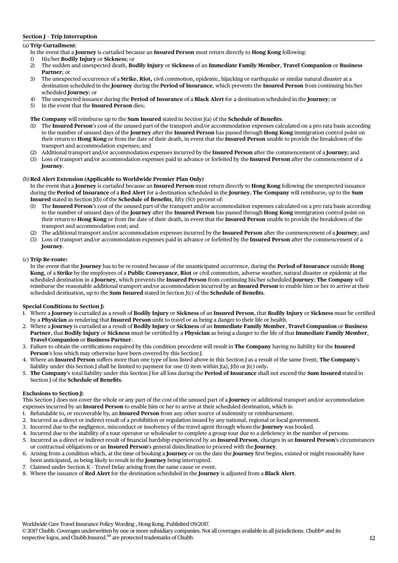## **Section J – Trip Interruption**

## (a) **Trip Curtailment**:

- In the event that a **Journey** is curtailed because an **Insured Person** must return directly to **Hong Kong** following:
- 1) His/her **Bodily Injury** or **Sickness**; or
- 2) The sudden and unexpected death, **Bodily Injury** or **Sickness** of an **Immediate Family Member**, **Travel Companion** or **Business Partner**; or
- 3) The unexpected occurrence of a **Strike**, **Riot,** civil commotion, epidemic, hijacking or earthquake or similar natural disaster at a destination scheduled in the **Journey** during the **Period of Insurance**, which prevents the **Insured Person** from continuing his/her scheduled **Journey**; or
- 4) The unexpected issuance during the **Period of Insurance** of a **Black Alert** for a destination scheduled in the **Journey**; or
- 5) In the event that the **Insured Person** dies;

## **The Company** will reimburse up to the **Sum Insured** stated in Section J(a) of the **Schedule of Benefits**:

- (1) The **Insured Person**'s cost of the unused part of the transport and/or accommodation expenses calculated on a pro rata basis according to the number of unused days of the **Journey** after the **Insured Person** has passed through **Hong Kong** immigration control point on their return to **Hong Kong** or from the date of their death, in event that the **Insured Person** unable to provide the breakdown of the transport and accommodation expenses; and
- (2) Additional transport and/or accommodation expenses incurred by the **Insured Person** after the commencement of a **Journey**; and
- (3) Loss of transport and/or accommodation expenses paid in advance or forfeited by the **Insured Person** after the commencement of a **Journey**.

## (b) **Red Alert Extension (Applicable to Worldwide Premier Plan Only)**

In the event that a **Journey** is curtailed because an **Insured Person** must return directly to **Hong Kong** following the unexpected issuance during the **Period of Insurance** of a **Red Alert** for a destination scheduled in the **Journey**, **The Company** will reimburse, up to the **Sum Insured** stated in Section J(b) of the **Schedule of Benefits**, fifty (50) percent of:

- The Insured Person's cost of the unused part of the transport and/or accommodation expenses calculated on a pro rata basis according to the number of unused days of the **Journey** after the **Insured Person** has passed through **Hong Kong** immigration control point on their return to **Hong Kong** or from the date of their death, in event that the **Insured Person** unable to provide the breakdown of the transport and accommodation cost; and
- (2) The additional transport and/or accommodation expenses incurred by the **Insured Person** after the commencement of a **Journey**; and
- (3) Loss of transport and/or accommodation expenses paid in advance or forfeited by the **Insured Person** after the commencement of a **Journey**.

### (c) **Trip Re-route:**

In the event that the **Journey** has to be re-routed because of the unanticipated occurrence, during the **Period of Insurance** outside **Hong Kong**, of a **Strike** by the employees of a **Public Conveyance**, **Riot** or civil commotion, adverse weather, natural disaster or epidemic at the scheduled destination in a **Journey**, which prevents the **Insured Person** from continuing his/her scheduled **Journey**; **The Company** will reimburse the reasonable additional transport and/or accommodation incurred by an **Insured Person** to enable him or her to arrive at their scheduled destination, up to the **Sum Insured** stated in Section J(c) of the **Schedule of Benefits**.

## **Special Conditions to Section J:**

- 1. Where a **Journey** is curtailed as a result of **Bodily Injury** or **Sickness** of an **Insured Person**, that **Bodily Injury** or **Sickness** must be certified by a **Physician** as rendering that **Insured Person** unfit to travel or as being a danger to their life or health.
- 2. Where a **Journey** is curtailed as a result of **Bodily Injury** or **Sickness** of an **Immediate Family Member**, **Travel Companion** or **Business Partner**, that **Bodily Injury** or **Sickness** must be certified by a **Physician** as being a danger to the life of that **Immediate Family Member**, **Travel Companion** or **Business Partner**.
- 3. Failure to obtain the certifications required by this condition precedent will result in **The Company** having no liability for the **Insured Person**'s loss which may otherwise have been covered by this Section J.
- 4. Where an **Insured Person** suffers more than one type of loss listed above in this Section J as a result of the same Event, **The Company**'s liability under this Section J shall be limited to payment for one (1) item within J(a), J(b) or J(c) only**.**
- 5. **The Company**'s total liability under this Section J for all loss during the **Period of Insurance** shall not exceed the **Sum Insured** stated in Section J of the **Schedule of Benefits**.

## **Exclusions to Section J:**

This Section J does not cover the whole or any part of the cost of the unused part of a **Journey** or additional transport and/or accommodation expenses incurred by an **Insured Person** to enable him or her to arrive at their scheduled destination, which is:

- 1. Refundable to, or recoverable by, an **Insured Person** from any other source of indemnity or reimbursement.
- 2. Incurred as a direct or indirect result of a prohibition or regulation issued by any national, regional or local government.
- 3. Incurred due to the negligence, misconduct or insolvency of the travel agent through whom the **Journey** was booked.
- 4. Incurred due to the inability of a tour operator or wholesaler to complete a group tour due to a deficiency in the number of persons.
- 5. Incurred as a direct or indirect result of financial hardship experienced by an **Insured Person**, changes in an **Insured Person**'s circumstances or contractual obligations or an **Insured Person**'s general disinclination to proceed with the **Journey**.
- 6. Arising from a condition which, at the time of booking a **Journey** or on the date the **Journey** first begins, existed or might reasonably have been anticipated, as being likely to result in the **Journey** being interrupted.
- 7. Claimed under Section K Travel Delay arising from the same cause or event.
- 8. Where the issuance of **Red Alert** for the destination scheduled in the **Journey** is adjusted from a **Black Alert**.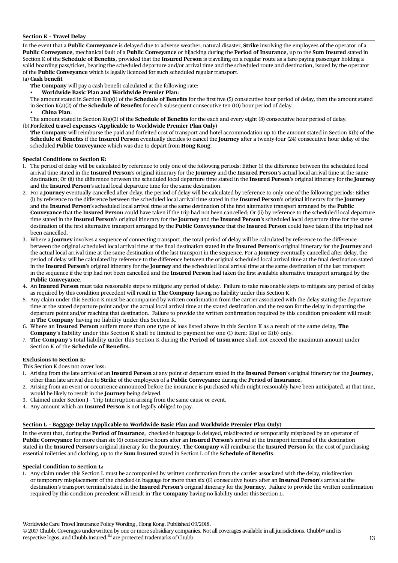## **Section K – Travel Delay**

In the event that a **Public Conveyance** is delayed due to adverse weather, natural disaster, **Strike** involving the employees of the operator of a **Public Conveyance**, mechanical fault of a **Public Conveyance** or hijacking during the **Period of Insurance**, up to the **Sum Insured** stated in Section K of the **Schedule of Benefits**, provided that the **Insured Person** is travelling on a regular route as a fare-paying passenger holding a valid boarding pass/ticket, bearing the scheduled departure and/or arrival time and the scheduled route and destination, issued by the operator of the **Public Conveyance** which is legally licenced for such scheduled regular transport.

## (a) **Cash benefit**

**The Company** will pay a cash benefit calculated at the following rate:

**Worldwide Basic Plan and Worldwide Premier Plan:** 

 The amount stated in Section K(a)(1) of the **Schedule of Benefits** for the first five (5) consecutive hour period of delay, then the amount stated in Section K(a)(2) of the **Schedule of Benefits** for each subsequent consecutive ten (10) hour period of delay.

**China Plan:** 

The amount stated in Section K(a)(3) of the **Schedule of Benefits** for the each and every eight (8) consecutive hour period of delay.

(b)**Forfeited travel expenses (Applicable to Worldwide Premier Plan Only)**

**The Company** will reimburse the paid and forfeited cost of transport and hotel accommodation up to the amount stated in Section K(b) of the **Schedule of Benefits** if the **Insured Person** eventually decides to cancel the **Journey** after a twenty-four (24) consecutive hour delay of the scheduled **Public Conveyance** which was due to depart from **Hong Kong**.

## **Special Conditions to Section K:**

- 1. The period of delay will be calculated by reference to only one of the following periods: Either (i) the difference between the scheduled local arrival time stated in the **Insured Person**'s original itinerary for the **Journey** and the **Insured Person**'s actual local arrival time at the same destination; Or (ii) the difference between the scheduled local departure time stated in the **Insured Person**'s original itinerary for the **Journey** and the **Insured Person**'s actual local departure time for the same destination.
- 2. For a **Journey** eventually cancelled after delay, the period of delay will be calculated by reference to only one of the following periods: Either (i) by reference to the difference between the scheduled local arrival time stated in the **Insured Person**'s original itinerary for the **Journey** and the **Insured Person**'s scheduled local arrival time at the same destination of the first alternative transport arranged by the **Public Conveyance** that the **Insured Person** could have taken if the trip had not been cancelled; Or (ii) by reference to the scheduled local departure time stated in the **Insured Person**'s original itinerary for the **Journey** and the **Insured Person**'s scheduled local departure time for the same destination of the first alternative transport arranged by the **Public Conveyance** that the **Insured Person** could have taken if the trip had not been cancelled.
- 3. Where a **Journey** involves a sequence of connecting transport, the total period of delay will be calculated by reference to the difference between the original scheduled local arrival time at the final destination stated in the **Insured Person**'s original itinerary for the **Journey** and the actual local arrival time at the same destination of the last transport in the sequence. For a **Journey** eventually cancelled after delay, the period of delay will be calculated by reference to the difference between the original scheduled local arrival time at the final destination stated in the **Insured Person**'s original itinerary for the **Journey** and the scheduled local arrival time at the same destination of the last transport in the sequence if the trip had not been cancelled and the **Insured Person** had taken the first available alternative transport arranged by the **Public Conveyance**.
- 4. An **Insured Person** must take reasonable steps to mitigate any period of delay. Failure to take reasonable steps to mitigate any period of delay as required by this condition precedent will result in **The Company** having no liability under this Section K.
- 5. Any claim under this Section K must be accompanied by written confirmation from the carrier associated with the delay stating the departure time at the stated departure point and/or the actual local arrival time at the stated destination and the reason for the delay in departing the departure point and/or reaching that destination. Failure to provide the written confirmation required by this condition precedent will result in **The Company** having no liability under this Section K.
- 6. Where an **Insured Person** suffers more than one type of loss listed above in this Section K as a result of the same delay, **The Company**'s liability under this Section K shall be limited to payment for one (1) item: K(a) or K(b) only.
- 7. **The Company**'s total liability under this Section K during the **Period of Insurance** shall not exceed the maximum amount under Section K of the **Schedule of Benefits**.

#### **Exclusions to Section K:**

This Section K does not cover loss:

- 1. Arising from the late arrival of an **Insured Person** at any point of departure stated in the **Insured Person**'s original itinerary for the **Journey**, other than late arrival due to **Strike** of the employees of a **Public Conveyance** during the **Period of Insurance**.
- 2. Arising from an event or occurrence announced before the insurance is purchased which might reasonably have been anticipated, at that time, would be likely to result in the **Journey** being delayed.
- 3. Claimed under Section J Trip Interruption arising from the same cause or event.
- 4. Any amount which an **Insured Person** is not legally obliged to pay.

#### **Section L – Baggage Delay (Applicable to Worldwide Basic Plan and Worldwide Premier Plan Only)**

In the event that, during the **Period of Insurance**, checked-in baggage is delayed, misdirected or temporarily misplaced by an operator of **Public Conveyance** for more than six (6) consecutive hours after an **Insured Person**'s arrival at the transport terminal of the destination stated in the **Insured Person'**s original itinerary for the **Journey**, **The Company** will reimburse the **Insured Person** for the cost of purchasing essential toiletries and clothing, up to the **Sum Insured** stated in Section L of the **Schedule of Benefits**.

#### **Special Condition to Section L:**

1. Any claim under this Section L must be accompanied by written confirmation from the carrier associated with the delay, misdirection or temporary misplacement of the checked-in baggage for more than six (6) consecutive hours after an **Insured Person**'s arrival at the destination's transport terminal stated in the **Insured Person**'s original itinerary for the **Journey**. Failure to provide the written confirmation required by this condition precedent will result in **The Company** having no liability under this Section L.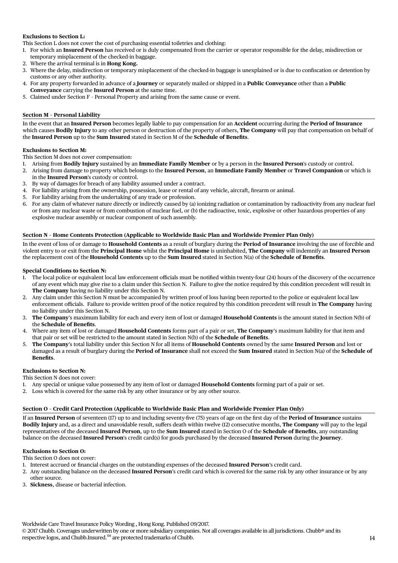## **Exclusions to Section L:**

This Section L does not cover the cost of purchasing essential toiletries and clothing:

- 1. For which an **Insured Person** has received or is duly compensated from the carrier or operator responsible for the delay, misdirection or temporary misplacement of the checked-in baggage.
- 2. Where the arrival terminal is in **Hong Kong.**
- 3. Where the delay, misdirection or temporary misplacement of the checked-in baggage is unexplained or is due to confiscation or detention by customs or any other authority.
- 4. For any property forwarded in advance of a **Journey** or separately mailed or shipped in a **Public Conveyance** other than a **Public Conveyance** carrying the **Insured Person** at the same time.
- 5. Claimed under Section F Personal Property and arising from the same cause or event.

## **Section M – Personal Liability**

In the event that an **Insured Person** becomes legally liable to pay compensation for an **Accident** occurring during the **Period of Insurance** which causes **Bodily Injury** to any other person or destruction of the property of others, **The Company** will pay that compensation on behalf of the **Insured Person** up to the **Sum Insured** stated in Section M of the **Schedule of Benefits**.

## **Exclusions to Section M:**

This Section M does not cover compensation:

- 1. Arising from **Bodily Injury** sustained by an **Immediate Family Member** or by a person in the **Insured Person**'s custody or control.
- 2. Arising from damage to property which belongs to the **Insured Person**, an **Immediate Family Member** or **Travel Companion** or which is in the **Insured Person**'s custody or control.
- 3. By way of damages for breach of any liability assumed under a contract.
- 4. For liability arising from the ownership, possession, lease or rental of any vehicle, aircraft, firearm or animal.
- 5. For liability arising from the undertaking of any trade or profession.
- 6. For any claim of whatever nature directly or indirectly caused by (a) ionizing radiation or contamination by radioactivity from any nuclear fuel or from any nuclear waste or from combustion of nuclear fuel, or (b) the radioactive, toxic, explosive or other hazardous properties of any explosive nuclear assembly or nuclear component of such assembly.

## **Section N – Home Contents Protection (Applicable to Worldwide Basic Plan and Worldwide Premier Plan Only)**

In the event of loss of or damage to **Household Contents** as a result of burglary during the **Period of Insurance** involving the use of forcible and violent entry to or exit from the **Principal Home** whilst the **Principal Home** is uninhabited, **The Company** will indemnify an **Insured Person** the replacement cost of the **Household Contents** up to the **Sum Insured** stated in Section N(a) of the **Schedule of Benefits**.

### **Special Conditions to Section N:**

- 1. The local police or equivalent local law enforcement officials must be notified within twenty-four (24) hours of the discovery of the occurrence of any event which may give rise to a claim under this Section N. Failure to give the notice required by this condition precedent will result in **The Company** having no liability under this Section N.
- 2. Any claim under this Section N must be accompanied by written proof of loss having been reported to the police or equivalent local law enforcement officials. Failure to provide written proof of the notice required by this condition precedent will result in **The Company** having no liability under this Section N.
- 3. **The Company**'s maximum liability for each and every item of lost or damaged **Household Contents** is the amount stated in Section N(b) of the **Schedule of Benefits**.
- 4. Where any item of lost or damaged **Household Contents** forms part of a pair or set, **The Company**'s maximum liability for that item and that pair or set will be restricted to the amount stated in Section N(b) of the **Schedule of Benefits**.
- 5. **The Company**'s total liability under this Section N for all items of **Household Contents** owned by the same **Insured Person** and lost or damaged as a result of burglary during the **Period of Insurance** shall not exceed the **Sum Insured** stated in Section N(a) of the **Schedule of Benefits**.

## **Exclusions to Section N:**

This Section N does not cover:

- 1. Any special or unique value possessed by any item of lost or damaged **Household Contents** forming part of a pair or set.
- 2. Loss which is covered for the same risk by any other insurance or by any other source.

## **Section O – Credit Card Protection (Applicable to Worldwide Basic Plan and Worldwide Premier Plan Only)**

If an **Insured Person** of seventeen (17) up to and including seventy-five (75) years of age on the first day of the **Period of Insurance** sustains **Bodily Injury** and, as a direct and unavoidable result, suffers death within twelve (12) consecutive months, **The Company** will pay to the legal representatives of the deceased **Insured Person**, up to the **Sum Insured** stated in Section O of the **Schedule of Benefits**, any outstanding balance on the deceased **Insured Person**'s credit card(s) for goods purchased by the deceased **Insured Person** during the **Journey**.

## **Exclusions to Section O:**

This Section O does not cover:

- 1. Interest accrued or financial charges on the outstanding expenses of the deceased **Insured Person**'s credit card.
- 2. Any outstanding balance on the deceased **Insured Person**'s credit card which is covered for the same risk by any other insurance or by any other source.
- 3. **Sickness**, disease or bacterial infection.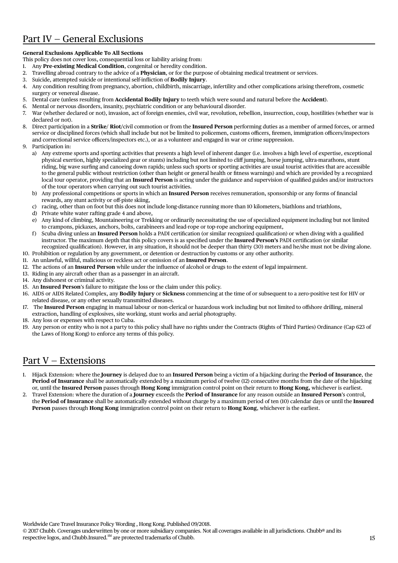## Part IV — General Exclusions

## **General Exclusions Applicable To All Sections**

This policy does not cover loss, consequential loss or liability arising from:

- 1. Any **Pre-existing Medical Condition**, congenital or heredity condition.
- 2. Travelling abroad contrary to the advice of a **Physician**, or for the purpose of obtaining medical treatment or services.
- 3. Suicide, attempted suicide or intentional self-infliction of **Bodily Injury**.
- 4. Any condition resulting from pregnancy, abortion, childbirth, miscarriage, infertility and other complications arising therefrom, cosmetic surgery or venereal disease.
- 5. Dental care (unless resulting from **Accidental Bodily Injury** to teeth which were sound and natural before the **Accident**).
- 6. Mental or nervous disorders, insanity, psychiatric condition or any behavioural disorder.
- 7. War (whether declared or not), invasion, act of foreign enemies, civil war, revolution, rebellion, insurrection, coup, hostilities (whether war is declared or not).
- 8. Direct participation in a **Strike**/ **Riot/**civil commotion or from the **Insured Person** performing duties as a member of armed forces, or armed service or disciplined forces (which shall include but not be limited to policemen, customs officers, firemen, immigration officers/inspectors and correctional service officers/inspectors etc.), or as a volunteer and engaged in war or crime suppression.
- 9 Participation in:
	- a) Any extreme sports and sporting activities that presents a high level of inherent danger (i.e. involves a high level of expertise, exceptional physical exertion, highly specialized gear or stunts) including but not limited to cliff jumping, horse jumping, ultra-marathons, stunt riding, big wave surfing and canoeing down rapids; unless such sports or sporting activities are usual tourist activities that are accessible to the general public without restriction (other than height or general health or fitness warnings) and which are provided by a recognized local tour operator, providing that an **Insured Person** is acting under the guidance and supervision of qualified guides and/or instructors of the tour operators when carrying out such tourist activities.
	- b) Any professional competitions or sports in which an **Insured Person** receives remuneration, sponsorship or any forms of financial rewards, any stunt activity or off-piste skiing,
	- c) racing, other than on foot but this does not include long-distance running more than 10 kilometers, biathlons and triathlons,
	- d) Private white water rafting grade 4 and above,
	- e) Any kind of climbing, Mountaineering or Trekking or ordinarily necessitating the use of specialized equipment including but not limited to crampons, pickaxes, anchors, bolts, carabineers and lead-rope or top-rope anchoring equipment,
	- f ) Scuba diving unless an **Insured Person** holds a PADI certification (or similar recognized qualification) or when diving with a qualified instructor. The maximum depth that this policy covers is as specified under the **Insured Person's** PADI certification (or similar recognized qualification). However, in any situation, it should not be deeper than thirty (30) meters and he/she must not be diving alone.
- 10. Prohibition or regulation by any government, or detention or destruction by customs or any other authority.
- 11. An unlawful, willful, malicious or reckless act or omission of an **Insured Person**.
- 12. The actions of an **Insured Person** while under the influence of alcohol or drugs to the extent of legal impairment.
- 13. Riding in any aircraft other than as a passenger in an aircraft.
- 14. Any dishonest or criminal activity.
- 15. An **Insured Person**'s failure to mitigate the loss or the claim under this policy.
- 16. AIDS or AIDS Related Complex, any **Bodily Injury** or **Sickness** commencing at the time of or subsequent to a zero-positive test for HIV or related disease, or any other sexually transmitted diseases.
- 17. The **Insured Person** engaging in manual labour or non-clerical or hazardous work including but not limited to offshore drilling, mineral extraction, handling of explosives, site working, stunt works and aerial photography.
- 18. Any loss or expenses with respect to Cuba.
- 19. Any person or entity who is not a party to this policy shall have no rights under the Contracts (Rights of Third Parties) Ordinance (Cap 623 of the Laws of Hong Kong) to enforce any terms of this policy.

## Part V — Extensions

- 1. Hijack Extension: where the **Journey** is delayed due to an **Insured Person** being a victim of a hijacking during the **Period of Insurance**, the **Period of Insurance** shall be automatically extended by a maximum period of twelve (12) consecutive months from the date of the hijacking or, until the **Insured Person** passes through **Hong Kong** immigration control point on their return to **Hong Kong,** whichever is earliest.
- 2. Travel Extension: where the duration of a **Journey** exceeds the **Period of Insurance** for any reason outside an **Insured Person**'s control, the **Period of Insurance** shall be automatically extended without charge by a maximum period of ten (10) calendar days or until the **Insured Person** passes through **Hong Kong** immigration control point on their return to **Hong Kong**, whichever is the earliest.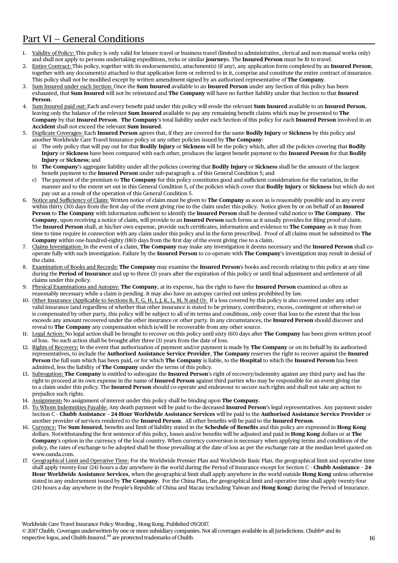## Part VI — General Conditions

- 1. Validity of Policy: This policy is only valid for leisure travel or business travel (limited to administrative, clerical and non-manual works only) and shall not apply to persons undertaking expeditions, treks or similar **journey**s. The **Insured Person** must be fit to travel.
- 2. Entire Contract: This policy, together with its endorsement(s), attachment(s) (if any), any application form completed by an **Insured Person**, together with any document(s) attached to that application form or referred to in it, comprise and constitute the entire contract of insurance. This policy shall not be modified except by written amendment signed by an authorized representative of **The Company**.
- 3. Sum Insured under each Section: Once the **Sum Insured** available to an **Insured Person** under any Section of this policy has been exhausted, that **Sum Insured** will not be reinstated and **The Company** will have no further liability under that Section to that **Insured Person**.
- 4. Sum Insured paid out: Each and every benefit paid under this policy will erode the relevant **Sum Insured** available to an **Insured Person**, leaving only the balance of the relevant **Sum Insured** available to pay any remaining benefit claims which may be presented to **The Company** by that **Insured Person**. **The Company**'s total liability under each Section of this policy for each **Insured Person** involved in an **Accident** shall not exceed the relevant **Sum Insured**.
- 5. Duplicate Coverages: Each **Insured Person** agrees that, if they are covered for the same **Bodily Injury** or **Sickness** by this policy and another Worldwide Care Travel Insurance policy or any other policies issued by **The Company**:
	- a) The only policy that will pay out for that **Bodily Injury** or **Sickness** will be the policy which, after all the policies covering that **Bodily Injury** or **Sickness** have been compared with each other, produces the largest benefit payment to the **Insured Person** for that **Bodily Injury** or **Sickness**; and
	- b) **The Company**'s aggregate liability under all the policies covering that **Bodily Injury** or **Sickness** shall be the amount of the largest benefit payment to the **Insured Person** under sub-paragraph a. of this General Condition 5; and
	- c) The payment of the premium to **The Company** for this policy constitutes good and sufficient consideration for the variation, in the manner and to the extent set out in this General Condition 5, of the policies which cover that **Bodily Injury** or **Sickness** but which do not pay out as a result of the operation of this General Condition 5.
- 6. Notice and Sufficiency of Claim: Written notice of claim must be given to **The Company** as soon as is reasonably possible and in any event within thirty (30) days from the first day of the event giving rise to the claim under this policy. Notice given by or on behalf of an **Insured Person** to **The Company** with information sufficient to identify the **Insured Person** shall be deemed valid notice to **The Company**. **The Company**, upon receiving a notice of claim, will provide to an **Insured Person** such forms as it usually provides for filing proof of claim. The **Insured Person** shall, at his/her own expense, provide such certificates, information and evidence to **The Company** as it may from time to time require in connection with any claim under this policy and in the form prescribed. Proof of all claims must be submitted to **The Company** within one-hundred-eighty (180) days from the first day of the event giving rise to a claim.
- 7. Claims Investigation: In the event of a claim, **The Company** may make any investigation it deems necessary and the **Insured Person** shall cooperate fully with such investigation. Failure by the **Insured Person** to co-operate with **The Company**'s investigation may result in denial of the claim.
- 8. Examination of Books and Records: **The Company** may examine the **Insured Person**'s books and records relating to this policy at any time during the **Period of Insurance** and up to three (3) years after the expiration of this policy or until final adjustment and settlement of all claims under this policy.
- 9. Physical Examinations and Autopsy: **The Company**, at its expense, has the right to have the **Insured Person** examined as often as reasonably necessary while a claim is pending. It may also have an autopsy carried out unless prohibited by law.
- 10. Other Insurance (Applicable to Sections B, F, G, H, I, J, K, L, M, N and O): If a loss covered by this policy is also covered under any other valid insurance (and regardless of whether that other insurance is stated to be primary, contributory, excess, contingent or otherwise) or is compensated by other party, this policy will be subject to all of its terms and conditions, only cover that loss to the extent that the loss exceeds any amount recovered under the other insurance or other party. In any circumstances, the **Insured Person** should discover and reveal to **The Company** any compensation which is/will be recoverable from any other source.
- 11. Legal Action: No legal action shall be brought to recover on this policy until sixty (60) days after **The Company** has been given written proof of loss. No such action shall be brought after three (3) years from the date of loss.
- 12. Rights of Recovery: In the event that authorization of payment and/or payment is made by **The Company** or on its behalf by its authorized representatives, to include the **Authorised Assistance Service Provider**, **The Company** reserves the right to recover against the **Insured Person** the full sum which has been paid, or for which **The Company** is liable, to the **Hospital** to which the **Insured Person** has been admitted, less the liability of **The Company** under the terms of this policy.
- 13. Subrogation: **The Company** is entitled to subrogate the **Insured Person**'s right of recovery/indemnity against any third party and has the right to proceed at its own expense in the name of **Insured Person** against third parties who may be responsible for an event giving rise to a claim under this policy. The **Insured Person** should co-operate and endeavour to secure such rights and shall not take any action to prejudice such rights.
- 14. Assignment**:** No assignment of interest under this policy shall be binding upon **The Company**.
- 15. To Whom Indemnities Payable: Any death payment will be paid to the deceased **Insured Person**'s legal representatives. Any payment under Section C – **Chubb Assistance – 24**-**Hour Worldwide Assistance Services** will be paid to the **Authorised Assistance Service Provider** or another provider of services rendered to the **Insured Person**. All other benefits will be paid to the **Insured Person**.
- 16. Currency: The **Sum Insured**, benefits and limit of liability stated in the **Schedule of Benefits** and this policy are expressed in **Hong Kong** dollars. Notwithstanding the first sentence of this policy, losses and/or benefits will be adjusted and paid in **Hong Kong** dollars or at **The Company**'s option in the currency of the local country. When currency conversion is necessary when applying terms and conditions of the policy, the rates of exchange to be adopted shall be those prevailing at the date of loss as per the exchange rate at the median level quoted on www.oanda.com.
- 17. Geographical Limit and Operative Time: For the Worldwide Premier Plan and Worldwide Basic Plan, the geographical limit and operative time shall apply twenty-four (24) hours a day anywhere in the world during the Period of Insurance except for Section C – **Chubb Assistance – 24**- **Hour Worldwide Assistance Services**, when the geographical limit shall apply anywhere in the world outside **Hong Kong** unless otherwise stated in any endorsement issued by **The Company**. For the China Plan, the geographical limit and operative time shall apply twenty-four (24) hours a day anywhere in the People's Republic of China and Macau (excluding Taiwan and **Hong Kong**) during the Period of Insurance.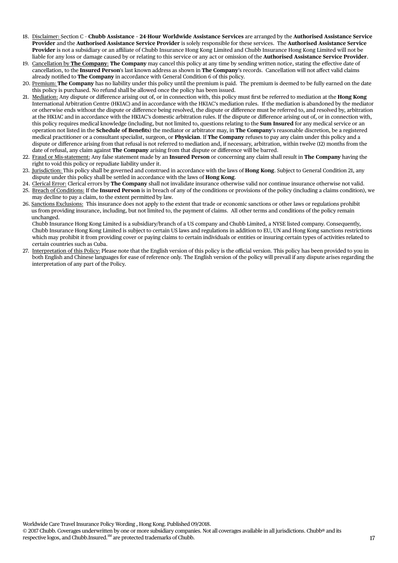- 18. Disclaimer: Section C **Chubb Assistance 24**-**Hour Worldwide Assistance Services** are arranged by the **Authorised Assistance Service Provider** and the **Authorised Assistance Service Provider** is solely responsible for these services. The **Authorised Assistance Service Provider** is not a subsidiary or an affiliate of Chubb Insurance Hong Kong Limited and Chubb Insurance Hong Kong Limited will not be liable for any loss or damage caused by or relating to this service or any act or omission of the **Authorised Assistance Service Provider**.
- 19. Cancellation by **The Company**: **The Company** may cancel this policy at any time by sending written notice, stating the effective date of cancellation, to the **Insured Person**'s last known address as shown in **The Company**'s records. Cancellation will not affect valid claims already notified to **The Company** in accordance with General Condition 6 of this policy.
- 20. Premium: **The Company** has no liability under this policy until the premium is paid. The premium is deemed to be fully earned on the date this policy is purchased. No refund shall be allowed once the policy has been issued.
- 21. Mediation: Any dispute or difference arising out of, or in connection with, this policy must first be referred to mediation at the **Hong Kong** International Arbitration Centre (HKIAC) and in accordance with the HKIAC's mediation rules. If the mediation is abandoned by the mediator or otherwise ends without the dispute or difference being resolved, the dispute or difference must be referred to, and resolved by, arbitration at the HKIAC and in accordance with the HKIAC's domestic arbitration rules. If the dispute or difference arising out of, or in connection with, this policy requires medical knowledge (including, but not limited to, questions relating to the **Sum Insured** for any medical service or an operation not listed in the **Schedule of Benefits**) the mediator or arbitrator may, in **The Company**'s reasonable discretion, be a registered medical practitioner or a consultant specialist, surgeon, or **Physician**. If **The Company** refuses to pay any claim under this policy and a dispute or difference arising from that refusal is not referred to mediation and, if necessary, arbitration, within twelve (12) months from the date of refusal, any claim against **The Company** arising from that dispute or difference will be barred.
- 22. Fraud or Mis-statement: Any false statement made by an **Insured Person** or concerning any claim shall result in **The Company** having the right to void this policy or repudiate liability under it.
- 23. Jurisdiction: This policy shall be governed and construed in accordance with the laws of **Hong Kong**. Subject to General Condition 21, any dispute under this policy shall be settled in accordance with the laws of **Hong Kong**.
- 24. Clerical Error: Clerical errors by **The Company** shall not invalidate insurance otherwise valid nor continue insurance otherwise not valid. 25. Breach of Conditions: If the **Insured Person** is in breach of any of the conditions or provisions of the policy (including a claims condition), we may decline to pay a claim, to the extent permitted by law.
- 26. Sanctions Exclusions: This insurance does not apply to the extent that trade or economic sanctions or other laws or regulations prohibit us from providing insurance, including, but not limited to, the payment of claims. All other terms and conditions of the policy remain unchanged.

 Chubb Insurance Hong Kong Limited is a subsidiary/branch of a US company and Chubb Limited, a NYSE listed company. Consequently, Chubb Insurance Hong Kong Limited is subject to certain US laws and regulations in addition to EU, UN and Hong Kong sanctions restrictions which may prohibit it from providing cover or paying claims to certain individuals or entities or insuring certain types of activities related to certain countries such as Cuba.

27. Interpretation of this Policy: Please note that the English version of this policy is the official version. This policy has been provided to you in both English and Chinese languages for ease of reference only. The English version of the policy will prevail if any dispute arises regarding the interpretation of any part of the Policy.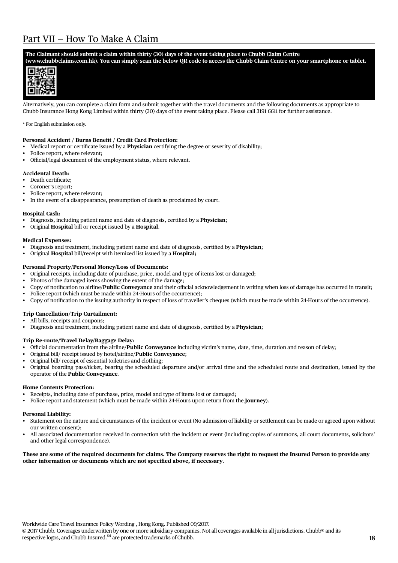## Part VII — How To Make A Claim

### **The Claimant should submit a claim within thirty (30) days of the event taking place to Chubb Claim Centre**

**(www.chubbclaims.com.hk). You can simply scan the below QR code to access the Chubb Claim Centre on your smartphone or tablet.** 



Alternatively, you can complete a claim form and submit together with the travel documents and the following documents as appropriate to Chubb Insurance Hong Kong Limited within thirty (30) days of the event taking place. Please call 3191 6611 for further assistance.

#### \* For English submission only.

#### **Personal Accident / Burns Benefit / Credit Card Protection:**

- Medical report or certificate issued by a **Physician** certifying the degree or severity of disability;
- Police report, where relevant;
- • Official/legal document of the employment status, where relevant.

### **Accidental Death:**

- Death certificate;
- Coroner's report:
- Police report, where relevant;
- In the event of a disappearance, presumption of death as proclaimed by court.

#### **Hospital Cash:**

- • Diagnosis, including patient name and date of diagnosis, certified by a **Physician**;
- • Original **Hospital** bill or receipt issued by a **Hospital**.

### **Medical Expenses:**

- Diagnosis and treatment, including patient name and date of diagnosis, certified by a **Physician**;
- • Original **Hospital** bill/receipt with itemized list issued by a **Hospital;**

## **Personal Property**/**Personal Money/Loss of Documents:**

- Original receipts, including date of purchase, price, model and type of items lost or damaged;
- Photos of the damaged items showing the extent of the damage;
- • Copy of notification to airline/**Public Conveyance** and their official acknowledgement in writing when loss of damage has occurred in transit;
- Police report (which must be made within 24-Hours of the occurrence);
- • Copy of notification to the issuing authority in respect of loss of traveller's cheques (which must be made within 24-Hours of the occurrence).

## **Trip Cancellation/Trip Curtailment:**

- • All bills, receipts and coupons;
- • Diagnosis and treatment, including patient name and date of diagnosis, certified by a **Physician**;

## **Trip Re-route/Travel Delay/Baggage Delay:**

- • Official documentation from the airline/**Public Conveyance** including victim's name, date, time, duration and reason of delay;
- • Original bill/ receipt issued by hotel/airline/**Public Conveyance**;
- Original bill/ receipt of essential toiletries and clothing;
- Original boarding pass/ticket, bearing the scheduled departure and/or arrival time and the scheduled route and destination, issued by the operator of the **Public Conveyance**.

#### **Home Contents Protection:**

- Receipts, including date of purchase, price, model and type of items lost or damaged;
- Police report and statement (which must be made within 24-Hours upon return from the **Journey**).

#### **Personal Liability:**

- • Statement on the nature and circumstances of the incident or event (No admission of liability or settlement can be made or agreed upon without our written consent);
- All associated documentation received in connection with the incident or event (including copies of summons, all court documents, solicitors' and other legal correspondence).

#### **These are some of the required documents for claims. The Company reserves the right to request the Insured Person to provide any other information or documents which are not specified above, if necessary**.

Worldwide Care Travel Insurance Policy Wording , Hong Kong. Published 09/2017.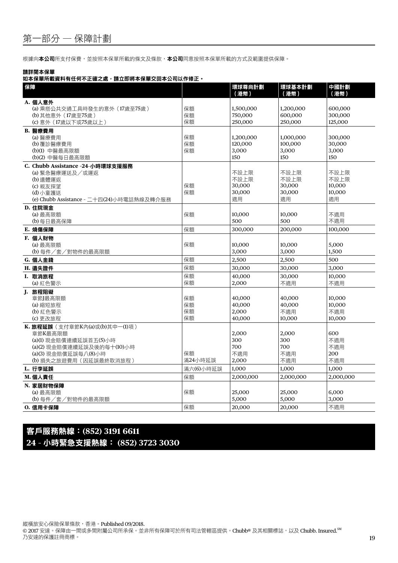根據向本公司所支付保費,並按照本保單所載的條文及條款,本公司同意按照本保單所載的方式及範圍提供保障。

### 請詳閱本保單

## 如本保單所載資料有任何不正確之處,請立即將本保單交回本公司以作修正。

| 保障                                                                                                                                                  |                      | 環球尊尚計劃<br>(港幣)                         | 環球基本計劃<br>(港幣)                         | 中國計劃<br>(港幣)                           |
|-----------------------------------------------------------------------------------------------------------------------------------------------------|----------------------|----------------------------------------|----------------------------------------|----------------------------------------|
| A. 個人意外<br>(a) 乘搭公共交通工具時發生的意外 (17歲至75歲)<br>(b) 其他意外 (17歲至75歲)<br>(c) 意外 (17歲以下或75歲以上)                                                               | 保額<br>保額<br>保額       | 1,500,000<br>750,000<br>250,000        | 1,200,000<br>600,000<br>250,000        | 600,000<br>300,000<br>125,000          |
| B. 醫療費用<br>(a) 醫療費用<br>(b) 覆診醫療費用<br>(b)(1) 中醫最高限額<br>(b)(2) 中醫每日最高限額                                                                               | 保額<br>保額<br>保額       | 1,200,000<br>120,000<br>3,000<br>150   | 1,000,000<br>100,000<br>3,000<br>150   | 300,000<br>30,000<br>3,000<br>150      |
| C. Chubb Assistance -24-小時環球支援服務<br>(a) 緊急醫療運送及/或運返<br>(b) 遺體運返<br>(c) 親友探望<br>(d) 小童護送<br>(e) Chubb Assistance - 二十四(24)小時電話熱線及轉介服務                | 保額<br>保額             | 不設上限<br>不設上限<br>30,000<br>30,000<br>適用 | 不設上限<br>不設上限<br>30,000<br>30,000<br>滴用 | 不設上限<br>不設上限<br>10,000<br>10,000<br>滴用 |
| D. 住院現金<br>(a) 最高限額<br>(b) 每日最高保障                                                                                                                   | 保額                   | 10.000<br>500                          | 10.000<br>500                          | 不適用<br>不適用                             |
| E. 燒傷保障                                                                                                                                             | 保額                   | 300,000                                | 200,000                                | 100,000                                |
| F. 個人財物<br>(a) 最高限額<br>(b) 每件/套/對物件的最高限額                                                                                                            | 保額                   | 10,000<br>3,000                        | 10,000<br>3,000                        | 5,000<br>1,500                         |
| G. 個人金錢                                                                                                                                             | 保額                   | 2,500                                  | 2,500                                  | 500                                    |
| H. 遺失證件                                                                                                                                             | 保額                   | 30,000                                 | 30,000                                 | 3,000                                  |
| I. 取消旅程<br>(a) 紅色警示                                                                                                                                 | 保額<br>保額             | 40,000<br>2,000                        | 30,000<br>不適用                          | 10,000<br>不適用                          |
| J. 旅程阻礙<br>章節】最高限額<br>(a) 縮短旅程<br>(b) 紅色警示<br>(c) 更改旅程                                                                                              | 保額<br>保額<br>保額<br>保額 | 40,000<br>40,000<br>2,000<br>40,000    | 40,000<br>40,000<br>不適用<br>10,000      | 10,000<br>10,000<br>不適用<br>10,000      |
| K. 旅程延誤(支付章節K內(a)或(b)其中一(1)項)<br>章節K最高限額<br>(a)(1) 現金賠償連續延誤首五(5)小時<br>(a)(2) 現金賠償連續延誤及後的每十(10)小時<br>(a)(3) 現金賠償延誤每八(8)小時<br>(b) 損失之旅遊費用 (因延誤最終取消旅程) | 保額<br>滿24小時延誤        | 2,000<br>300<br>700<br>不滴用<br>2,000    | 2,000<br>300<br>700<br>不滴用<br>不適用      | 600<br>不適用<br>不滴用<br>200<br>不適用        |
| L. 行李延誤                                                                                                                                             | 滿六(6)小時延誤            | 1,000                                  | 1,000                                  | 1,000                                  |
| M. 個人責任                                                                                                                                             | 保額                   | 2,000,000                              | 2,000,000                              | 2,000,000                              |
| N. 家居財物保障<br>(a) 最高限額<br>(b) 每件/套/對物件的最高限額                                                                                                          | 保額                   | 25,000<br>5,000                        | 25,000<br>5,000                        | 6.000<br>3,000                         |
| 0. 信用卡保障                                                                                                                                            | 保額                   | 20,000                                 | 20,000                                 | 不適用                                    |

客戶服務熱線:**(852) 3191 6611 24** - 小時緊急支援熱線: **(852) 3723 3030**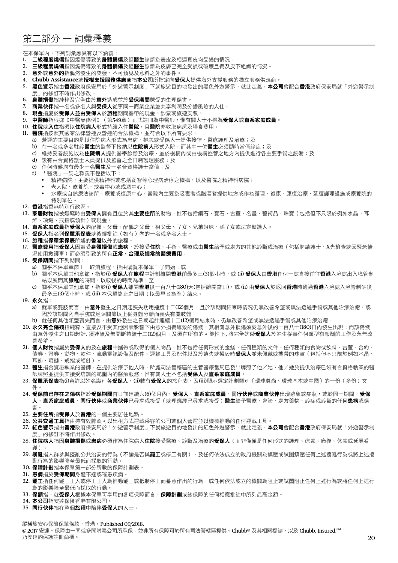## 第二部分 — 詞彙釋義

在本保單內,下列詞彙應具有以下涵義:

- 1. 二**級程度燒傷**指因燒傷導致的**身體損傷**及經**醫生**診斷為表皮及相連真皮均受損的情況。
- 2. 三**級程度燒傷**指因燒傷導致的**身體損傷**及經**醫生**診斷為皮膚已完全受損或破壞且傷及皮下組織的情況。
- 3. 意外或意外的指偶然發生的突發、不可預見及意料之外的事件。
- 4. **Chubb Assistance**或授權支援服務供應商指本公司所指定向受保人提供海外支援服務的獨立服務供應商。
- 5. 黑色警示指由香港政府保安局於「外游警示制度」下就旅游目的地發出的黑色外游警示,就此定義,本公司會配合香港政府保安局就「外游警示制 度」的修訂不時作出修改。
- 6. 身體損傷指純粹及完全由於意外造成並於受保期間蒙受的生理傷害。
- 7. 商業伙伴指一名或多名人與受保人從事同一商業企業並共享利潤及分擔風險的人仕。
- 8. 現金指屬於受保人並由受保人於旅程期間攜帶的現金、鈔票或旅遊支票。
- 9. 中醫師指根據《中醫藥條例》(第549章)正式註冊為中醫師,惟有關人士不得為受保人或直系家庭成員。
- 10. 住院或入住指須以住院病人形式持續入住醫院,且醫院亦收取病房及膳食費用。
- 11. 醫院指按照其國家法律營運及營運的合法機構,並符合以下所有要求:
	- a) 營運的主要目的是以住院病人形式為患病、抱恙或受傷人士提供接待、醫療護理及治療;及
	- b) 在一名或多名駐診醫生的監督下接納以住院病人形式入院,而其中一位醫生必須隨時當值診症;及
	- c) 維持妥善設施以為**住院病人**提供醫學診斷及治療,並於機構內或由機構控管之地方內提供進行各主要手術之設備;及
	- d) 設有由合資格護士人員提供及監督之全日制護理服務;及
	- e) 任何時候均有最少一名醫生及一名合資格護士當值;及
	- f ) 「醫院」一詞之釋義不包括以下:
		- 精神病院,主要提供精神科或包括弱智等心理病治療之機構,以及醫院之精神科病院;
		- 老人院、療養院、戒毒中心或戒酒中心;
			- 水療或自然療法診所、療養或復康中心,醫院內主要為吸毒者或酗酒者提供地方或作為護理、復康、康復治療、延續護理設施或療養院的 特別單位。
- 12. 香港指香港特別行政區。
- 13. 家居財物指被爆竊時由受保人擁有且位於其主要住所的財物,惟不包括鑽石、寶石、古董、名畫、藝術品、珠寶(包括但不只限於例如水晶、耳
- 飾、項鏈、戒指或領針)或現金。
- 14. 直系家庭成員指受保人的配偶、父母、配偶之父母、祖父母、子女、兄弟姐妹、孫子女或法定監護人。
- 15. 受保人指名列保單承保表或後續批註(如有)內的一名或多名人士。
- 16. 旅程指保單承保表所述的香港以外的旅程。
- 17. 醫療費用指受保人因遭受身體損傷或患病,於接受住院、手術、醫療或由醫生給予或處方的其他診斷或治療 (包括聘請護士、X光檢查或因緊急情 況使用救護車)而必須引致的所有正常、合理及慣常的醫療費用。
- 18. 受保期間指下列期間:
	- a) 關乎本保單章節 | 一取消旅程, 指由購買本保單日子開始;或
	- b) 關乎本保單其他章節,指於(i) 受保人在旅程中計劃離開香港前最多三(3)個小時,或 (ii) 受保人由香港任何一處直接前往香港入境處出入境管制 站以展開其**旅程**的時間,以較後的時間為準;至
	- c) 關乎本保單其他章節,指於(i) 受保人離開香港後一百八十(180)天(包括離開當日),或 (ii) 由受保人於返回香港時通過香港入境處入境管制站後 最多三(3)個小時,或 (iii) 本保單終止之日期 (以最早者為準) 結束。
- 19. 永久指:
	- a) 就單或雙肢而言,由**意外**發生之日期起喪失功用連續十二(12)個月,且於該期間結束時情況仍無改善希望或無法透過手術或其他治療治癒,或 因於該期間內自手腕或足踝關節以上從身體分離而喪失有關肢體;
	- b) 就任何其他類型喪失而言,由**意外**發生之日期起計連續十二(12)個月結束時,仍無改善希望或無法透過手術或其他治療治癒。
- 20. 永久完全傷殘指純粹、直接及不受其他因素影響下由意外捐傷導致的傷殘,其相關意外損傷須於意外後的一百八十(180)日內發生出現;而該傷殘 由意外發生之日期起計, 須連續及無間斷持續十二(12)個月;及須在所有的可能性下, 將完全妨礙**受保人**於餘生從事任何類型有報酬的工作及永無改 善希望。
- 21. 個人財物指屬於受保人的及在旅程中攜帶或取得的個人物品,惟不包括任何形式的金錢、任何種類的文件、任何種類的食物或飲料、古董、合約、 債券、證券、動物、軟件、流動電訊設備及配件、運輸工具及配件以及於遺失或損毀時**受保人**並未佩戴或攜帶的珠寶(包括但不只限於例如水晶、 耳飾、項鏈、戒指或領針)。
- 22. 醫生指合資格執業的醫師,在提供治療予他人時,所處司法管轄區的主管醫療當局已發出牌照予他/她,他/她於提供治療已領有合資格執業的醫 師牌照並提供其接受培訓的範圍內的醫療服務,惟有關人士不包括受保人及直系家庭成員。
- 23. 保單承保表指(i)容許以姓名識別各受保人,(ii)載有受保人的旅程表,及(iii)顯示選定計劃類別(環球尊尚、環球基本或中國)的一份(多份)文 件。
- 24. 受保前已存在之傷病指於受保期間首日前連續六(6)個月內,受保人、直系家庭成員、同行伙伴或商業伙伴出現跡象或症狀,或於同一期間,受保 人、直系家庭成員、同行伙伴或商業伙伴已尋求或接受(或理應經已尋求或接受)醫生給予醫療、會診、處方藥物、診症或診斷的任何患病或傷 害。
- 25. 主要住所指受保人於香港的一個主要居住地點。
- 26. 公共交通工具指由持有效牌照可以出租方式運載乘客的公司或個人營運並以機械推動的任何運載工具。
- 27. 紅色警示指由香港政府保安局於「外遊警示制度」下就旅遊目的地發出的紅色外遊警示,就此定義,本公司會配合香港政府保安局就「外遊警示制 度」的修訂不時作出修改。
- 28. 住院病人指因身體損傷或患病必須作為住院病人住院接受醫療、診斷及治療的受保人 ( 而非僅僅是任何形式的護理、療養、康復、休養或延展看 護)。
- 29. 暴亂指人群參與擾亂公共治安的行為(不論是否與罷工或停工有關),及任何依法成立的政府機關為鎮壓或試圖鎮壓任何上述擾亂行為或將上述擾 亂行為的影響降至最低而採取的行動。
- 30. 保障計劃指本保單第一部分所載的保障計劃表。
- 31. 患病指於受保期間身體不適或罹患疾病。
- 32. **罷工**指任何罷工工人或停工工人為推動罷工或抵制停工而蓄意作出的行為;或任何依法成立的機關為阻止或試圖阻止任何上述行為或將任何上述行 為的影響降至最低而採取的行動。
- 33. 保額指,就受保人根據本保單可享用的各項保障而言,保障計劃或該保障的任何相應批註中所列最高金額。
- 34. 本公司指安達保險香港有限公司。
- 35. 同行伙伴指在整個旅程中陪伴受保人的人士。

縱橫旅安心保險保單條款,香港。Published 09/2018.

© 2017 安達。保障由一間或多間附屬公司所承保。並非所有保障可於所有司法管轄區提供。Chubb® 及其相關標誌,以及 Chubb. Insured.<sup>SM</sup> 乃安達的保護註冊商標。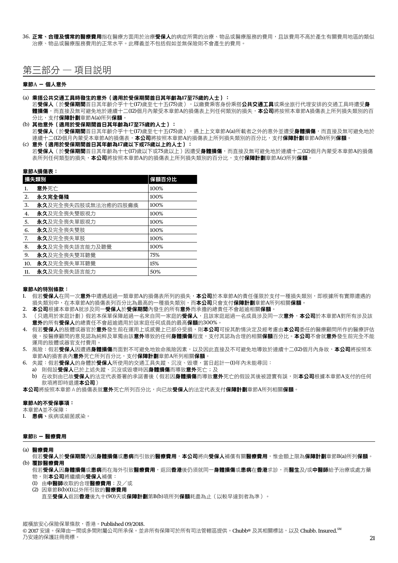36. 正常、合理及慣常的醫療費用指在醫療方面用於治療受保人的病症所需的治療、物品或醫療服務的費用,且該費用不高於產生有關費用地區的類似 治療、物品或醫療服務費用的正常水平。此釋義並不包括假如並無保險則不會產生的費用。

## 第三部分 — 項目說明

#### 章節A - 個人意外

#### (a) 乘搭公共交通工具時發生的意外(適用於受保期間首日其年齡為**17**至**75**歲的人士):

若**受保人**(於**受保期間**首日其年齡介乎十七(17)歲至七十五(75)歲),以繳費乘客身份乘搭**公共交通工具**或乘坐旅行代理安排的交通工具時遭受**身** ースポン(ポンデンのデンのデジタル)。<br>**體損傷**,而直接及無可避免地於連續十二(12)個月內蒙受本章節A的損傷表上列任何類別的損失,**本公司**將按照本章節A損傷表上所列損失類別的百 分比,支付保障計劃章節A(a)所列保額。

(b) 其他意外(適用於受保期間首日其年齡為**17**至**75**歲的人士):

若受保人(於受保期間首日其年齡介乎十七(17)歲至七十五(75)歲),遇上上文章節A(a)所載者之外的意外並遭受身體損傷,而直接及無可避免地於 連續十二(12)個月內蒙受本章節A的損傷表,本公司將按照本章節A的損傷表上所列損失類別的百分比,支付**保障計劃**章節A(b)所列**保額**。

(c) 意外(適用於受保期間首日其年齡為**17**歲以下或**75**歲以上的人士): 若**受保人**(於**受保期間**首日其年齡為十七(17)歲以下或75歲以上)因遭受身體損傷,而直接及無可避免地於連續十二(12)個月內蒙受本章節A的損傷 表所列任何類型的損失,本公司將按照本章節A的的損傷表上所列損失類別的百分比,支付保障計劃章節A(c)所列保額。

|  | 章節A損傷表: |  |  |
|--|---------|--|--|
|  |         |  |  |

|     | 損失類別                | 保額百分比 |
|-----|---------------------|-------|
| 1.  | 意外死亡                | 100%  |
| 2.  | 永久完全傷殘              | 100%  |
| 3.  | 永久及完全喪失四肢或無法治癒的四肢癱瘓 | 100%  |
| 4.  | 永久及完全喪失雙眼視力         | 100%  |
| 5.  | 永久及完全喪失單眼視力         | 100%  |
| 6.  | 永久及完全喪失雙肢           | 100%  |
| 7.  | 永久及完全喪失單肢           | 100%  |
| 8.  | 永久及完全喪失語言能力及聽覺      | 100%  |
| 9.  | 永久及完全喪失雙耳聽覺         | 75%   |
| 10. | 永久及完全喪失單耳聽覺         | 15%   |
| 11. | 永久及完全喪失語言能力         | 50%   |

## 章節**A**的特別條款:

- 1. 假若**受保人**在同一次**意外**中遭遇超過一類章節A的損傷表所列的損失,**本公司**於本章節A的責任僅限於支付一種損失類別,即根據所有實際遭遇的 損失類別中,在本章節A的損傷表列百分比為最高的一種損失類別,而本公司只會支付保障計劃章節A所列相關保額。
- 2. 本公司根據本章節A就涉及同一受保人於受保期間內發生的所有意外而承擔的總責任不會超逾相關保額。
- 3. (只適用於家庭計劃)假若本保單保障超過一名來自同一家庭的**受保人**,且該家庭超過一名成員涉及同一次**意外,本公司**於本章節A對所有涉及該 意外的所有受保人的總責任不會超逾適用於該家庭任何成員的最高保額的300%。
- 4. 假若**受保人**的肢體或器官於**意外**發生前在運用上或感覺上已部分受損,則**本公司**可按其酌情決定及經考慮由**本公司**委任的醫療顧問所作的醫療評估 後,按醫療顧問的意見認為純粹及單獨由該**意外**導致的任何**身體損傷**程度,支付其認為合理的相關**保額**百分比。**本公司**不會就**意外**發生前完全不能 運用的肢體或器官支付費用。
- 5. 風險:假若**受保人**因遭遇**身體損傷**而面對不可避免地致命風險因素,以及因此直接及不可避免地導致於連續十二(12)個月內身故,**本公司**將按照本 章節A的損害表內**意外**死亡所列百分比,支付**保障計劃**章節A所列相關**保額**。
- 6. 失蹤:假若受保人的身體於受保人所使用的交通工具失蹤、沉沒、毀壞,當日起計一(1)年內未能尋回:
	- a) 則假設受保人已於上述失蹤、沉沒或毀壞時因身體損傷而導致意外死亡;及 b) 在收到由已故受保人的法定代表簽署的承諾書後(假若因身體損傷而導致意外死亡的假設其後被證實有誤,則本公司根據本章節A支付的任何 款項將即時退還本公司)

本公司將按照本章節A的損傷表就意外死亡所列百分比,向已故受保人的法定代表支付保障計劃章節A所列相關保額。

#### 章節**A**的不受保事項:

本章節A並不保障:

1. 患病、疾病或細菌感染。

#### 章節B - 醫療費用

(a) 醫療費用

假若受保人於受保期間內因身體損傷或患病而引致的醫療費用,本公司將向受保人補償有關醫療費用,惟金額上限為保障計劃章節B(a)所列保額。 (b) 覆診醫療費用

假若**受保人因身體損傷**或患病而在海外引致醫療費用,返回香港後仍須就同一身體損傷或患病在香港求診,而醫生及/或中醫師給予治療或處方藥 物,則本公司將繼續向受保人補償:

- (1) 由中醫師收取的合理醫療費用;及/或
- (2) 因章節B(b)(1)以外所引致的醫療費用

直至受保人返回香港後九十(90)天或保障計劃第B(b)項所列保額耗盡為止(以較早達到者為準)。

20 21 乃安達的保護註冊商標。 縱橫旅安心保險保單條款,香港。Published 09/2018. © 2017 安達。保障由一間或多間附屬公司所承保。並非所有保障可於所有司法管轄區提供。Chubb® 及其相關標誌,以及 Chubb. Insured. SM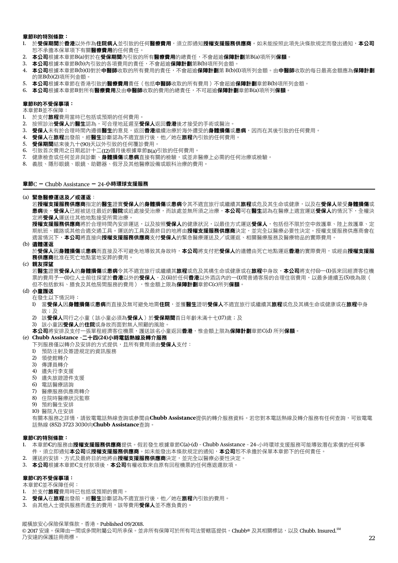#### 章節**B**的特別條款:

- 1. 於**受保期間於香港**以外作為**住院病人**並引致的任何**醫療費用**,須立即涌知**授權支援服務供應商**。如未能按照此項先決條款規定而發出涌知,**本公司** 恕不承擔本保單項下有關**醫療費用**的仟何責仟。
- 2. 本公司根據本章節B(a)對於在受保期間內引致的所有醫療費用的總責任,不會超逾保障計劃第B(a)項所列保額。
- 3. 本公司根據本章節B(b)內引致的各項費用的責任,不會超逾保障計劃第B(b)項所列金額。
- 4. 本公司根據本章節B(b)(1)對於中醫師收取的所有費用的責任,不會超逾保障計劃第 B(b)(1)項所列金額。由中醫師收取的每日最高金額應為保障計劃 的第B(b)(2)項所列金額。
- 5. 本公司根據本章節在香港引致的醫療費用責任(包括中醫師收取的所有費用)不會超逾保障計劃章節B(b)項所列金額。
- 6. 本公司根據本章節B對所有醫療費用及由中醫師收取的費用的總責任,不可超逾保障計劃章節B(a)項所列保額。

#### 章節**B**的不受保事項:

本章節B並不保障:

- 1. 於支付旅程費用當時已包括或預期的任何費用。
- 2. 按照診治受保人的醫生認為,可合理地延遲至受保人返回香港後才接受的手術或醫治。
- 3. 受保人未有於合理時間內遵循醫生的意見,逐回香港繼續治療於海外遭受的身體損傷或患病,因而在其後引致的任何費用。
- 4. 受保人在旅程出發前,經醫生診斷認為不適宜旅行後,他/她在旅程內引致的任何費用。
- 5. 受保期間結束後九十(90)天以外引致的任何覆診費用。
- 6. 引致首次費用之日期起計十二(12)個月後根據章節B(a)引致的任何費用。<br>7. 健康檢查或任何並非與診斷、**身體損傷**或**患病**直接有關的檢驗,或並非
- 健康檢查或任何並非與診斷、**身體損傷**或**患病**直接有關的檢驗,或並非醫療上必需的任何治療或檢驗。
- 8. 義肢、隱形眼鏡、眼鏡、助聽器、假牙及其他醫療設備或眼科治療的費用。

章節C - Chubb Assistance - 24-小時環球支援服務

#### (a) 緊急醫療運送及/或運返:

若**授權支援服務供應商**指定的醫生證實**受保人**的身體損傷或患病令其不適宜旅行或繼續其旅程或危及其生命或健康,以及在**受保人**蒙受身體損傷或 患病後,受保人已經被送往最近的醫院或近處接受治療,而該處並無所須之治療,**本公司**可在醫生認為在醫療上適宜運送受保人的情況下,全權決 定將受保人運送往其他地點接受所需治療。

**授權支援服務供應商**將於合理時間內安排運送,以及按照**受保人**的健康狀況,以最佳方式運送**受保人**,包括但不限於空中救護車、陸上救護車、定 期航班、鐵路或其他合適交通工具。運送的工具及最終目的地將由**授權支援服務供應商**決定,並完全以醫療必要性決定。授權支援服務供應商會在 適當情況下,本公司將直接向授權支援服務供應商支付受保人的緊急醫療運送及/或運返、相關醫療服務及醫療物品的實際費用。

(b) 遺體運返

於受保人因身體損傷或患病而直接及不可避免地導致其身故時,本公司將支付把受保人的遺體由死亡地點運返香港的實際費用,或經由授權支援服 務供應商批准在死亡地點當地安葬的費用。

(c) 親友探望

若醫生證實受保人的身體損傷或患病令其不適宜旅行或繼續其旅程或危及其構生命或健康或在旅程中身故,本公司將支付(i)一(1)張來回經濟客位機 票的費用予一(1)位人士前往探望於**香港**以外的**受保人**,及(ii)於任何**香港**以外酒店內的一(1)間普通客房的合理住宿費用,以最多連續五(5)晚為限( 但不包括飲料、膳食及其他房間服務的費用),惟金額上限為保障計劃章節C(c)所列保額。

#### (d) 小童護送

在發生以下情況時:

- 1) 當受保人因身體損傷或患病而直接及無可避免地需住院,並獲醫生證明受保人不適宜旅行或繼續其旅程或危及其構生命或健康或在旅程中身 故;及
- 2) 該受保人同行之小童(該小童必須為受保人)於受保期間首日年齡未滿十七(17)歲;及
- 3) 該小童因受保人的住院或身故而面對無人照顧的風險。
- 本公司將安排及支付一張單程經濟客位機票,護送該名小童返回**香港**,惟金額上限為**保障計劃**章節C(d) 所列**保額**。

#### (e) **Chubb Assistance –**二十四**(24)**小時電話熱線及轉介服務

下列服務僅以轉介及安排的方式提供,且所有費用須由**受保人**支付:

- 1) 預防注射及簽證規定的資訊服務
- 2) 領使館轉介
- 3) 傳譯員轉介
- 4) 遺失行李支援
- 5) 遺失旅遊證件支援
- 6) 電話醫療諮詢
- 7) 醫療服務供應商轉介
- 8) 住院時醫療狀況監察
- 9) 預約醫生安排
- 10) 醫院入住安排

 有關本服務之詳情,請致電電話熱線查詢或參閱由**Chubb Assistance**提供的轉介服務資料。若您對本電話熱線及轉介服務有任何查詢,可致電電 話熱線 (852) 3723 3030向**Chubb Assistance**查詢。

#### 章節**C**的特別條款:

- 1. 本章節**C**的服務由授權支援服務供應商提供。假若發生根據章節C(a)-(d) Chubb Assistance 24-小時環球支援服務可能導致潛在索償的任何事 件,須立即通知本公司或授權支援服務供應商。如未能發出本條款規定的通知,本公司恕不承擔於保單本章節下的任何責任。
- 2. 運送的安排、方式及最終目的地將由**授權支援服務供應商**決定,並完全以醫療必要性決定。
- 3. 本公司根據本章節C支付款項後,本公司有權收取來自原有回程機票的任何應退還款項。

#### 章節**C**的不受保事項:

本章節C並不保障任何:

- 1. 於支付旅程費用時已包括或預期的費用。
- 2. 受保人在旅程出發前,經醫生診斷認為不適宜旅行後,他/她在旅程內引致的費用。
- 3. 由其他人十提供服務而產生的費用,該等費用**受保人**並不應負責的。

縱橫旅安心保險保單條款,香港。Published 09/2018.

© 2017 安達。保障由一間或多間附屬公司所承保。並非所有保障可於所有司法管轄區提供。Chubb® 及其相關標誌,以及 Chubb. Insured.<sup>SM</sup> 乃安達的保護註冊商標。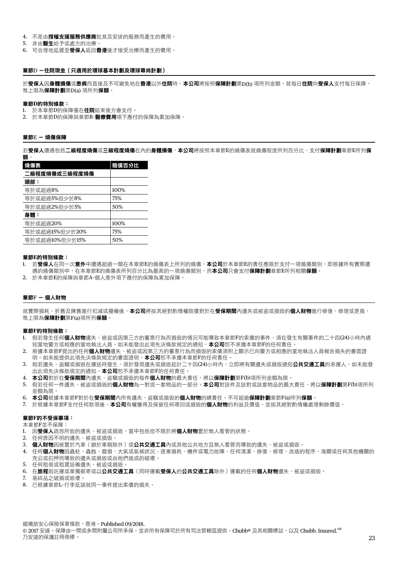- 4. 不是由授權支援服務供應商批准及安排的服務而產生的費用。
- 5. 非由醫生給予或處方的治療。
- 6. 可合理地延遲至受保人返回香港後才接受治療而產生的費用。

#### 章節D -住院現金(只適用於環球基本計劃及環球尊尚計劃)

於受保人因身體損傷或患病而直接及不可避免地在香港以外住院時,本公司將按照保障計劃第D(b) 項所列金額,就每日住院向受保人支付每日保障, 惟上限為保障計劃第D(a) 項所列保額。

#### 章節**D**的特別條款:

- 1. 於本章節D的保障僅在住院結束後方會支付。
- 2. 於本章節D的保障與章節B-醫療費用項下應付的保障為累加保障。

#### 章節E - 燒傷保障

若受保人遭遇包括二級程度燒傷或三級程度燒傷在內的身體損傷,本公司將按照本章節E的燒傷表就燒傷程度所列百分比,支付保障計劃章節E所列保 額。

| 燒傷表            | 賠償百分比 |
|----------------|-------|
| 二級程度燒傷或三級程度燒傷  |       |
| 頭部:            |       |
| 等於或超過8%        | 100%  |
| 等於或超過5%但少於8%   | 75%   |
| 等於或超過2%但少於5%   | 50%   |
| 身體:            |       |
| 等於或超過20%       | 100%  |
| 等於或超過15%但少於20% | 75%   |
| 等於或超過10%但少於15% | 50%   |
|                |       |

#### 章節**E**的特別條款:

- 1. 若**受保人**在同一次**意外**中遭遇超過一類在本章節E的燒傷表上所列的燒傷,**本公司**於本章節E的責任應限於支付一項燒傷類別,即根據所有實際遭
- 遇的燒傷類別中,在本章節E的燒傷表所列百分比為最高的一項燒傷類別,而本公司只會支付保障計劃章節E所列相關保額。
- 2. 於本章節E的保障與章節A–個人意外項下應付的保障為累加保障。

#### 章節F - 個人財物

就實際損耗、折舊及陳舊進行扣減或撥備後,**本公司**將按其絕對酌情權賠償對於在**受保期間**內遺失或被盜或損毀的**個人財物**進行修復、修理或更換, 惟上限為保障計劃第F(a)項所列保額。

#### 章節**F**的特別條款:

- 1. 假若發生任何**個人財物**遺失、被盜或因第三方的蓄意行為而損毀的情況可能導致本章節F的索償的事件,須在發生有關事件的二十四(24)小時內通 知當地警方或相應的當地執法人員。如未能發出此項先決條款規定的通知,**本公司**恕不承擔本章節F的任何責任。
- 2. 根據本章節F提出的任何**個人財物**遺失、被盜或因第三方的蓄意行為而損毀的索償須附上顯示已向警方或相應的當地執法人員報告損失的書面證 明。如未能提供此項先決條款規定的書面證明, 本公司恕不承擔本章節F的任何責任。
- 3. 假若遺失、盜竊或損毀在運送時發生,須於發現遺失或損毀起計二十四(24)小時內,立即將有關遺失或損毀通知公共交通工具的承運人。如未能發 出此項先決條款規定的通知, 本公司恕不承擔本章節F的任何責任。
- 4. 本公司對於在受保期間內遺失、盜竊或損毀的每件個人財物的最大責任,將以保障計劃第F(b)項所列金額為限。
- 5. 假若任何一件遺失、被盜或損毀的**個人財物**為一對或一套物品的一部分,**本公司**對該件及該對或該套物品的最大責任,將以**保障計劃**第F(b)項所列 金額為限。
- 6. 本公司根據本章節F對於在受保期間內所有遺失、盜竊或損毀的個人財物的總責任,不可超逾保障計劃章節F(a)所列保額。
- 7. 於根據本章節F支付任何款項後,**本公司**有權獲得及保留任何尋回或損毀的**個人財物**的利益及價值,並按其絕對酌情權處理剩餘價值。

#### 章節**F**的不受保事項:

本章節F並不保障:

- 1. 因受保人疏忽所致的遺失、被盜或損毀,當中包括但不限於將個人財物置於無人看管的狀態。
- 2. 任何原因不明的遺失、被盜或損毀。
- 3. 個人財物因被置於汽車(鎖於車箱除外)或公共交通工具內或其他公共地方且無人看管而導致的遺失、被盜或損毀。
- 4. 任何**個人財物**因蟲蛀、蟲蝕、磨損、大氣或氣候狀況、逐漸損耗、機件或電力故障、任何清潔、修復、修理、改造的程序、海關或任何其他機關的 充公或扣押而導致的遺失或損毀或由他們造成的破壞。
- 5. 任何租借或租賃設備遺失、被盜或損毀。
- 6. 在旅程前託運或單獨郵寄或以公共交通工具(同時運載受保人的公共交通工具除外)運載的任何個人財物遺失、被盜或損毀。
- 7. 易碎品之破損或毀壞。
- 8. 已根據章節L–行李延誤就同一事件提出索償的損失。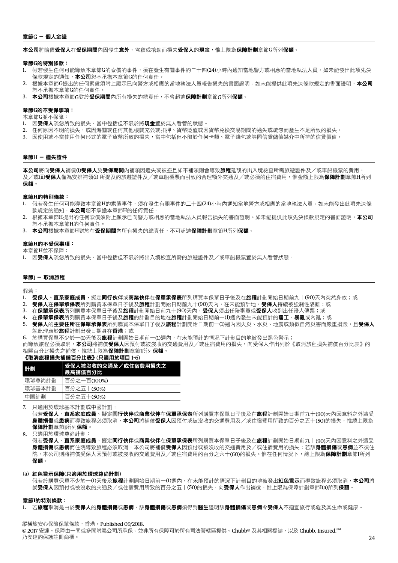#### 章節G - 個人金錢

本公司將賠償受保人在受保期間內因發生意外、盜竊或搶劫而損失受保人的現金,惟上限為保障計劃章節G所列保額。

#### 章節**G**的特別條款:

- 1. 假若發生任何可能導致本章節G的索償的事件,須在發生有關事件的二十四(24)小時內通知當地警方或相應的當地執法人員。如未能發出此項先決 條款規定的通知, 本公司恕不承擔本章節G的任何責任。
- 2. 根據本章節G提出的任何索償須附上顯示已向警方或相應的當地執法人員報告損失的書面證明。如未能提供此項先決條款規定的書面證明,**本公司** 恕不承擔本章節G的任何責任。
- 3. 本公司根據本章節G對於受保期間內所有損失的總責任,不會超逾保障計劃章節G所列保額。

#### 章節**G**的不受保事項:

本章節G並不保障:

- 1. 因受保人疏忽所致的損失,當中包括但不限於將現金置於無人看管的狀態。
- 2. 任何原因不明的損失,或因海國或任何其他機關充公或扣押、貨幣貶值或因貨幣兑換交易期間的過失或疏忽而產生不足所致的損失。
- 3. 因使用或不當使用任何形式的電子貨幣所致的損失,當中包括但不限於任何卡類、電子錢包或等同信貸儲值软介中所持的信貸價值。

#### 章節H - 遺失證件

本公司將向受保人補償(i)受保人於受保期間內補領因遺失或被盜且如不補領則會導致旅程延誤的出入境檢查所需旅遊證件及/或車船機票的費用, 及/或(**ii)受保人**僅為安排補領(i) 所提及的旅遊證件及/或車船機票而引致的合理額外交通及/或必須的住宿費用,惟金額上限為**保障計劃**章節H所列 保額。

#### 章節**H**的特別條款:

- 1. 假若發生任何可能導致本章節H的索償事件,須在發生有關事件的二十四(24)小時內通知當地警方或相應的當地執法人員。如未能發出此項先決條 款規定的涌知, 本公司恕不承擔本章節H的任何責任。
- 2. 根據本章節H提出的任何索償須附上顯示已向警方或相應的當地執法人員報告損失的書面證明。如未能提供此項先決條款規定的書面證明,**本公司** 恕不承擔本章節H的任何責任。
- 3. 本公司根據本章節H對於在受保期間內所有損失的總責任,不可超逾保障計劃章節H所列保額。

#### 章節**H**的不受保事項:

本章節H並不保障:

1. 因受保人疏忽所致的損失,當中包括但不限於將出入境檢查所需的旅遊證件及/或車船機票置於無人看管狀態。

#### 章節I - 取消旅程

假若:

- 1. 受保人、直系家庭成員、擬定同行伙伴实商業伙伴在保單承保表所列購買本保單日子後及在旅程計劃開始日期前九十(90)天內突然身故;或
- 2. 受保人在保單承保表所列購買本保單日子後及旅程計劃開始日期前九十(90)天內,在未能預計地,受保人持續被強制性隔離;或
- 3. 在保單承保表所列購買本保單日子後及旅程計劃開始日前九十(90)天內,受保人須出任陪審員或受保人收到出任證人傳票;或
- 4. 在保單承保表所列購買本保單日子後及旅程的計劃目的地在旅程計劃開始日期前一(1)週內發生未能預計的罷工、暴亂或內亂;或
- 5. 受保人的主要住所在保單承保表所列購買本保單日子後及旅程計劃開始日期前一(1)週內因火災、水災、地震或類似自然災害而嚴重損毀,且受保人 就此理應於**旅程**計劃出發日期身在**香港**;或
- 6. 於購買保單不少於一(1)天後及**旅程**計劃開始日期前一(1)週內,在未能預計的情況下計劃目的地被發出黑色警示;

而導致旅程必須取消,**本公司**將補償**受保人**因預付或被沒收的交通費用及/或住宿費用的損失,向受保人作出列於《取消旅程損失補償百分比表》的 相關百分比損失之補償,惟總上限為保障計劃章節I所列保額。

#### 《取消旅程損失補償百分比表》(只適用於項目 1-6)

| 情報     | 受保人被沒收的交通及/或住宿費用損失之<br>最高補償百分比 |
|--------|--------------------------------|
| 環球尊尚計劃 | 百分之一百(100%)                    |
| 環球基本計劃 | 百分之五十(50%)                     |
| 中國計劃   | 百分之五十(50%)                     |

7. 只適用於環球基本計劃或中國計劃:

假若受保人、直系家庭成員、擬定同行伙伴或商業伙伴在保單承保表所列購買本保單日子後及在旅程計劃開始日期前九十(90)天內因意料之外遭受 身體損傷或患病而導致旅程必須取消,本公司將補償受保人因預付或被沒收的交通費用及/或住宿費用所致的百分之五十(50)的損失,惟總上限為 保障計劃章節I所列保額。

8. 只適用於環球尊尚計劃:

假若**受保人、直系家庭成員、**擬定**同行伙伴或商業伙伴在保單承保表**所列購買本保單日子後及在**旅程**計劃開始日期前九十(90)天內因意料之外遭受 身體損傷或患病而住院導致旅程必須取消,本公司將補償**受保人**因預付或被沒收的交通費用及/或住宿費用的損失;若該**身體損傷**或患病並不須住 院,本公司則將補償受保人因預付或被沒收的交通費用及/或住宿費用的百分之六十(60)的損失。惟在任何情況下,總上限為**保障計劃**章節I所列 保額。

#### (a) 紅色警示保障(只適用於環球尊尚計劃)

假若於購買保單不少於一(1)天後及**旅程**計劃開始日期前一(1)週內,在未能預計的情況下計劃目的地被發出**紅色警示**而導致旅程必須取消,**本公司**將 就**受保人**因預付或被沒收的交通及/或住宿費用所致的百分之五十(50)的損失,向**受保人**作出補償,惟上限為保障計劃章節I(a)所列**保額**。

#### 章節**I**的特別條款:

1. 若旅程取消是由於受保人的身體損傷或患病,該身體損傷或患病須得到醫生證明該身體損傷或患病令受保人不適宜旅行或危及其生命或健康。

縱橫旅安心保險保單條款,香港。Published 09/2018.

© 2017 安達。保障由一間或多間附屬公司所承保。並非所有保障可於所有司法管轄區提供。Chubb® 及其相關標誌,以及 Chubb. Insured.<sup>SM</sup> 乃安達的保護註冊商標。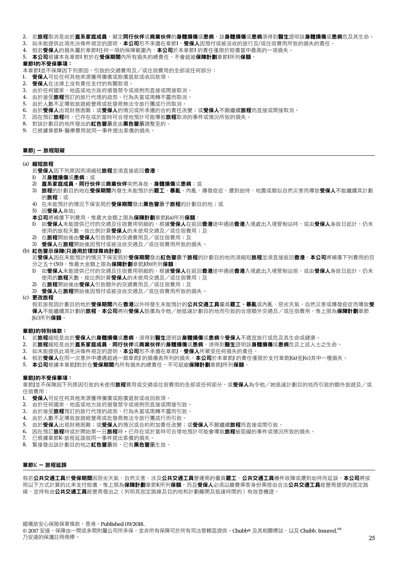- 2. 若旅程取消是由於**直系家庭成員**、擬定**同行伙伴或商業伙伴的身體損傷或患病,該身體損傷或患病**須得到醫生證明該身體損傷或患病危及其生命。
- 3. 如未能提供此項先決條件規定的證明,本公司恕不承譫在章節I,受保人因預付或被沒收的旅行及/或住宿費用所致的損失的責任。
- 4. 假若受保人的損失屬於章節I任何一項的保障範圍內,本公司於本章節I 的責任僅限於賠償當中最高的一項損失。
- 5. 本公司根據本各章節I 對於在受保期間內所有損失的總責任,不會超逾保障計劃章節I所列保額。

## 章節**I**的不受保事項:

- 本章節I並不保障因下列原因,引致的交通費用及/或住宿費用的全部或任何部分:
- 1. 受保人可從任何其他來源獲得彌償或賠償退款或收回款項。
- 2. 受保人在法律上沒有責任支付的有關款項。
- 3. 由於任何國家、地區或地方政府頒發禁令或規例而直接或間接取消。
- 4. 由於接受旅程預訂的旅行代理的疏忽、行為失當或周轉不靈而取消。
- 5. 由於人數不足導致旅遊經營商或批發商無法令旅行團成行而取消。
- 6. 由於受保人出現財務困難;或受保人的情況或所承擔的合約責任改變;或受保人不願繼續旅程而直接或間接取消。
- 7. 因在預訂**旅程**時,已存在或於當時可合理地預計可能導致**旅程**取消的事件或情況所致的損失。
- 8. 對該計劃目的地所發出的**紅色警示**是由**黑色警示**調整至的。
- 9. 已根據章節B–醫療費用就同一事件提出索償的損失。

## 章節J - 旅程阻礙

## (a) 縮短旅程

- 若受保人因下列原因而須縮短旅程並須直接返回香港:
- 1) 其身體損傷或患病;或
- 2) 直系家庭成員,同行伙伴或商業伙伴突然身故、身體損傷或患病;或
- 3) 旅程的計劃目的地在受保期間內發生未能預計的罷工、暴亂、內亂、爆發疫症、遭到劫持、地震或類似自然災害而導致受保人不能繼續其計劃 的**旅程**;或
- 4) 在未能預計的情況下保安局於**受保期間**發出**黑色警示予旅程**的計劃目的地;或

5) 因受保人身故;

- 本公司將補償下列費用,惟最大金額上限為保障計劃章節J(a)所列保額:
- 1) 如受保人未能提供已付的交通及住宿費用明細的,根據受保人在返回香港途中通過香港入境處出入境管制站時,或由受保人身故日起計,仍未 使用的旅程天數,按比例計算**受保人**的未使用交通及/或住宿費用;及
- 2) 在旅程開始後由受保人引致額外的交通費用及/或住宿費用;及
- 3) 受保人在旅程開始後因預付或被沒收交通及/或住宿費用所致的損失。

#### (b) 紅色警示保障(只適用於環球尊尚計劃)

若受保人因在未能預計的情況下保安局於受保期間發出紅色警示予旅程的計劃目的地而須縮短旅程並須直接返回香港,本公司將補償下列費用的百 分之五十(50),惟最大金額上限為保障計劃章節J(b)所列保額:

- 1) 如**受保人**未能提供已付的交通及住宿費用明細的,根據**受保人**在返回**香港**途中通過**香港**入境處出入境管制站前,或由**受保人**身故日起計,仍未 使用的旅程天數,按比例計算受保人的未使用交通及/或住宿費用;及
- 2) 在旅程開始後由受保人引致額外的交通費用及/或住宿費用;及
- 3) 受保人在旅程開始後因預付或被沒收交通及/或住宿費用所致的損失。
- (c) 更改旅程

假若旅程因計劃目的地於**受保期間**內在**香港**以外時發生未能預計的**公共交通工具**僱員**罷工、暴亂**或內亂、惡劣天氣、自然災害或爆發疫症而導致**受** 保人不能繼續其計劃的旅程,本公司將向受保人賠償為令他/她抵達計劃目的地而引致的合理額外交通及/或住宿費用,惟上限為保障計劃章節 J(c)所列保額。

#### 章節**J**的特別條款:

- 1. 若旅程縮短是由於受保人的身體損傷或患病,須得到醫生證明該身體損傷或患病令受保人不適宜旅行或危及其生命或健康。
- 2. 若旅程縮短是由於**直系家庭成員、同行伙伴或商業伙伴的身體損傷或患病,**須得到醫生證明該身體損傷或患病危及上述人士之生命。
- 3. 如未能提供此項先決條件規定的證明,本公司恕不承擔在章節J,受保人所蒙受任何損失的責任。
- 4. 假若**受保人**在同一次意外中遭遇超過一類章節J 的損傷表所列的損失,本公司於本章節J 的責任僅限於支付章節J(a)至J(c)其中一種損失。
- 5. 本公司根據本章節『對於在受保期間內所有損失的總責任,不可超逾保障計劃章節「所列保額。

#### 章節**J**的不受保事項:

章節J並不保障因下列原因引致的未使用**旅程**費用或交通或住宿費用的全部或任何部分,或**受保人**為令他/她抵達計劃目的地而引致的額外旅遊及/或 住宿費用:

- 1. 受保人可從任何其他來源獲得彌償或賠償退款或收回款項。
- 2. 由於任何國家、地區或地方政府頒發禁令或規例而直接或間接引致。
- 3. 由於接受旅程預訂的旅行代理的疏忽、行為失當或周轉不靈而引致。
- 4. 由於人數不足導致旅遊經營商或批發商無法令旅行團成行而引致。
- 5. 由於受保人出現財務困難;或受保人的情況或合約附加責任改變;或受保人不願繼續旅程而直接或間引致。
- 6. 因在預訂**旅程**時或於開始第一日**旅程**時,已存在或於當時可合理地預計可能會導致**旅程**被阻礙的事件或情況所致的損失。
- 7. 已根據章節K–旅程延誤就同一事件提出索償的損失。
- 8. 緊接發出該計劃目的地之紅色警示前,已有黑色警示生效。

#### 章節K - 旅程延誤

假若公共交通工具於受保期間因惡劣天氣、自然災害、涉及公共交通工具營運商的僱員罷工、公共交通工具機件故障或遭到劫持而延誤,本公司將按 照以下方式計算的比率支付賠償,惟上限為**保障計劃**章節K所列**保額**,而且**受保人**必須以繳費乘客身份乘搭由合法**公共交通工具**經營商提供的固定路 線,並持有由公共交通工具經營商發出之(列明其固定路線及目的地和計劃離開及抵達時間的)有效登機證

24 25 乃安達的保護註冊商標。 縱橫旅安心保險保單條款,香港。Published 09/2018. © 2017 安達。保障由一間或多間附屬公司所承保。並非所有保障可於所有司法管轄區提供。Chubb® 及其相關標誌,以及 Chubb. Insured.<sup>SM</sup>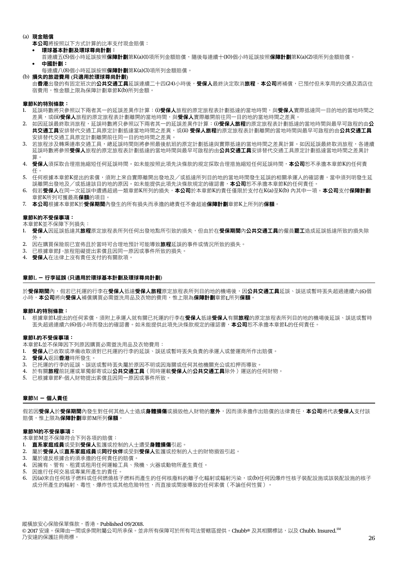- (a) 現金賠償
	- 本公司將按照以下方式計算的比率支付現金賠償:
	- 環球基本計劃及環球尊尚計劃:
	- 首連續五(5)個小時延誤按照**保障計劃**第K(a)(1)項所列金額賠償,隨後每連續十(10)個小時延誤按照**保障計劃**第K(a)(2)項所列金額賠償。
	- 中國計劃:
	- 每連續八(8)個小時延誤按照保障計劃第K(a)(3)項所列金額賠償。
- (b) 損失的旅遊費用 (只適用於環球尊尚計劃)

由香港出發的有固定班次的公共交通工具延誤連續二十四(24)小時後,受保人最終決定取消旅程,本公司將補償,已預付但未享用的交通及酒店住 宿費用,惟金額上限為保障計劃章節K(b)所列金額。

#### 章節**K**的特別條款:

- 1. 延誤時數將只參照以下兩者其一的延誤差異作計算:(i)**受保人**旅程的原定旅程表計劃抵達的當地時間,與**受保人**實際抵達同一目的地的當地時間之 差異,或(ii)受保人旅程的原定旅程表計劃離開的當地時間,與受保人實際離開前往同一目的地的當地時間之差異。
- 2. 如因延誤最終取消旅程,延誤時數將只參照以下兩者其一的延誤差異作計算:(i)**受保人旅程**的原定旅程表計劃抵達的當地時間與最早可啟程的由公 共交通工具安排替代交通工具原定計劃抵達當地時間之差異,或(ii) 受保人旅程的原定旅程表計劃離開的當地時間與最早可啟程的由公共交通工具 安排替代交通工具原定計劃離開前往同一目的地時間之差異。
- 3. 若旅程涉及轉乘連串交通工具,總延誤時間則將參照最後航班的原定計劃抵達與實際抵達的當地時間之差異計算。如因延誤最終取消旅程,各連續 延誤時數將參照**受保人**旅程的原定旅程表計劃抵達的當地時間與最早可啟程的由**公共交通工具**安排替代交通工具原定計劃抵達當地時間之差異計 算。
- 4. 受保人須採取合理措施縮短任何延誤時間。如未能按照此項先決條款的規定採取合理措施縮短任何延誤時間,本公司恕不承擔本章節K的任何責 任。
- 5. 任何根據本章節K提出的索償,須附上來自實際離開出發地及/或抵達所列目的地的當地時間發生延誤的相關承運人的確認書,當中須列明發生延 誤離開出發地及/或抵達該目的地的原因。如未能提供此項先決條款規定的確認書,**本公司**恕不承擔本章節K的任何責任。
- 6. 假若受保人在同一次延誤中遭遇超過一類章節K所列的損失,本公司於本章節K的責任僅限於支付在K(a)至K(b) 內其中一項。本公司支付保障計劃 章節K所列可獲最高**保額**的項目。
- 7. 本公司根據本章節K於受保期間內發生的所有損失而承擔的總責任不會超逾保障計劃章節K上所列的保額。

#### 章節**K**的不受保事項:

本章節K並不保障下列損失:

- 1. 受保人因延誤抵達其旅程原定旅程表所列任何出發地點所引致的損失,但由於在受保期間內公共交通工具的僱員罷工造成延誤抵達所致的損失除 外。
- 2. 因在購買保險前已宣佈且於當時可合理地預計可能導致旅程延誤的事件或情況所致的損失。
- 3. 已根據章節J –旅程阻礙提出索償且因同一原因或事件所致的損失。
- 4. 受保人在法律上沒有責任支付的有關款項。

#### 章節L - 行李延誤 (只適用於環球基本計劃及環球尊尚計劃)

於**受保期間**內,假若已托運的行李在**受保人**抵達**受保人旅程**原定旅程表所列目的地的機場後,因**公共交通工具**延誤、誤送或暫時丟失超過連續六(6)個 小時,本公司將向受保人補償購買必需盥洗用品及衣物的費用,惟上限為保障計劃章節L所列保額。

#### 章節**L**的特別條款:

1. 根據章節L提出的任何索償,須附上承運人就有關已托運的行李在**受保人**抵達**受保人**有關**旅程**的原定旅程表所列目的地的機場後延誤、誤送或暫時 丟失超過連續六(6)個小時而發出的確認書。如未能提供此項先決條款規定的確認書,本公司恕不承擔本章節L的任何責任。

#### 章節**L**的不受保事項:

本章節L並不保障因下列原因購買必需盥洗用品及衣物費用:

- 1. 受保人已收取或準備收取須對已托運的行李的延誤、誤送或暫時丟失負責的承運人或營運商所作出賠償。
- 2. 受保人返回香港時所發生。
- 3. 已托運的行李的延誤、誤送或暫時丟失屬於原因不明或因海關或任何其他機關充公或扣押而導致。
- 4. 於有關旅程前託運或單獨郵寄或以公共交通工具(同時運載受保人的公共交通工具除外)運送的任何財物。
- 5. 已根據章節F–個人財物提出索償且因同一原因或事件所致。

## 章節M - 個人責任

假若因受保人於受保期間內發生對任何其他人士造成身體損傷或損毀他人財物的意外,因而須承擔作出賠償的法律責任,本公司將代表受保人支付該 賠償,惟上限為保障計劃章節M所列保額。

#### 章節**M**的不受保事項:

本章節M並不保障符合下列各項的賠償:

- 1. 直系家庭成員或受到受保人監護或控制的人十遭受身體損傷引起。
- 2. 屬於受保人或直系家庭成員或同行伙伴或受到受保人監護或控制的人士的財物損毀引起。
- 3. 屬於違反根據合約須承擔的任何責任的賠償。
- 4. 因擁有、管有、租賃或租用任何運輸工具、飛機、火器或動物所產生責任。
- 5. 因進行任何交易或專業所產生的責任。
- 6. 因(a)來自任何核子燃料或任何燃燒核子燃料而產生的任何核廢料的離子化輻射或輻射污染,或(b)任何因爆炸性核子裝配設施或該裝配設施的核子 成分所產生的輻射、毒性、爆炸性或其他危險特性,而直接或間接導致的任何索償(不論任何性質)。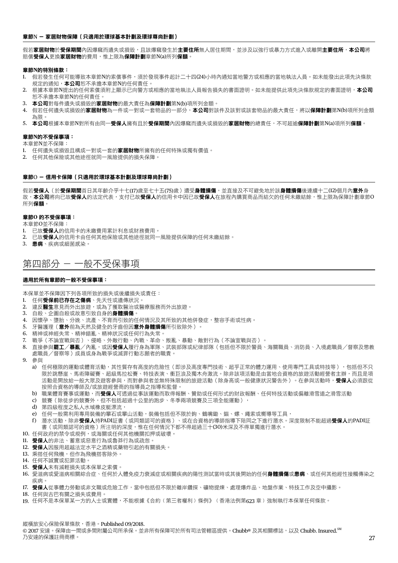#### 章節N - 家居財物保障(只適用於環球基本計劃及環球尊尚計劃)

假若家居財物於受保期間內因爆竊而遺失或損毀,且該爆竊發生於主要住所無人居住期間,並涉及以強行或暴力方式進入或離開**主要住所,本公司**將 賠償受保人更換家居財物的費用,惟上限為保障計劃章節N(a)所列保額。

#### 章節**N**的特別條款:

- 1. 假若發生任何可能導致本章節N的索償事件,須於發現事件起計二十四(24)小時內通知當地警方或相應的當地執法人員。如未能發出此項先決條款 規定的通知, 本公司恕不承擔本章節N的任何責任。
- 2. 根據本章節N提出的任何索償須附上顯示已向警方或相應的當地執法人員報告損失的書面證明。如未能提供此項先決條款規定的書面證明,**本公司** 恕不承擔本章節N的任何責任。
- 3. 本公司對每件潰失或損毀的家居財物的最大責任為保障計劃第N(b)項所列金額。
- 4. 假若任何遺失或損毀的**家居財物**為一件或一對或一套物品的一部分,**本公司**對該件及該對或該套物品的最大責任,將以**保障計劃**第N(b)項所列金額 為限。
- 5. 本公司根據本章節N對所有由同一受保人擁有且於受保期間內因爆竊而遺失或損毀的家居財物的總責任,不可超逾保障計劃第N(a)項所列保額。

#### 章節**N**的不受保事項:

本章節N並不保障:

- 1. 任何遺失或損毀且構成一對或一套的**家居財物**所擁有的任何特殊或獨有價值。
- 2. 任何其他保險或其他途徑就同一風險提供的損失保障。

#### 章節O - 信用卡保障(只適用於環球基本計劃及環球尊尚計劃)

假若**受保人**(於**受保期間**首日其年齡介乎十七(17)歲至七十五(75)歲)遭受**身體損傷**,並直接及不可避免地於該**身體損傷**後連續十二(12)個月內**意外**身 故,**本公司**將向已故**受保人**的法定代表,支付已故**受保人**的信用卡中因已故**受保人**在旅程內購買商品而結欠的任何未繳結餘,惟上限為保障計劃章節O 所列保額。

#### 章節**O** 的不受保事項:

本章節O並不保障:

- 1. 已故受保人的信用卡的未繳費用累計利息或財務費用。
- 2. 已故受保人的信用卡由任何其他保險或其他途徑就同一風險提供保障的任何未繳結餘。
- 3. 患病、疾病或細菌感染。

## 第四部分 - 一般不受保事項

#### 適用於所有章節的一般不受保事項:

本保單並不保障因下列各項所致的損失或後繼損失或責任:

- 1. 任何**受保前已存在之傷病**、先天性或遺傳狀況。
- 2. 違反醫生意見而外出旅遊,或為了獲取醫治或醫療服務而外出旅遊。
- 3. 自殺、企圖自殺或故意引致自身的身體損傷。
- 4. 因懷孕、墮胎、分娩、流產、不育而引致的任何情況及其所致的其他併發症,整容手術或性病。
- 5. 牙醫護理(意外前為天然及健全的牙齒但因意外身體損傷所引致除外)。
- 6. 精神或神經失常、精神錯亂、精神狀況或任何行為失常。
- 7. 戰爭(不論宣戰與否)、侵略、外敵行動、內戰、革命、叛亂、暴動、敵對行為(不論宣戰與否)。
- 8. 直接參與**罷工/暴亂/**內亂,或因**受保人**履行身為軍隊、武裝部隊或紀律部隊(包括但不限於警員、海關職員、消防員、入境處職員/督察及懲教 處職員/督察等)成員或身為戰爭或滅罪行動志願者的職責。
- 9. 參與
	- a) 任何極限的運動或體育活動,其性質存有高度的危險性(即涉及高度專門技術、超乎正常的體力運用、使用專門工具或特技等),包括但不只 限於跳懸崖、馬術障礙賽、超級馬拉松賽、特技表演、衝巨浪及獨木舟激流。除非該項活動是由當地合資格的旅遊活動經營者主辦,而且是項 活動是開放給一般大眾及遊客參與,而對參與者並無特殊限制的旅遊活動(除身高或一般健康狀況警告外)。在參與活動時,**受保人**必須跟從 按照合資格的導師及/或旅遊經營商的指導員之指導和監督。
	- b) 職業體育賽事或運動,而受保人可透過從事該運動而取得報酬、贊助或任何形式的財政報酬、任何特技活動或偏離滑雪道之滑雪活動
	- c) 競賽(除徒步的競賽外,但不包括超過十公里的跑步、冬季兩項競賽及三項全能運動),
	- d) 第四級程度之私人水域橡皮艇漂流,
	- e) 任何一般需利用專用裝備的攀石或攀山活動,裝備包括但不限於鉤、鶴嘴鋤、錨、螺、繩索或嚮導等工具,
	- f) 潛水活動,除非受保人持PADI証書(或同類認可的資格)、或在合資格的導師指導下陪同之下進行潛水。深度限制不能超過受保人的PADI証 書(或同類認可的資格)所注明的深度,惟在任何情況下都不得超過三十(30)米深及不得單獨進行潛水。
- 10. 任何政府的禁令或規例, 或海關或任何其他機關扣押或破壞。
- 11. 受保人的非法、蓄意或惡意行為或魯莽行為或疏忽。
- 12. 受保人因服用超越法定水平之酒精或藥物引起的有關損失。
- 13. 乘搭任何飛機,但作為飛機搭客除外。
- 14. 任何不誠實或犯罪活動。
- 15. 受保人未有減輕損失或本保單之索償。
- 16. 愛滋病或愛滋病相關綜合症、任何於人體免疫力衰減症或相關疾病的陽性測試當時或其後開始的任何身體損傷或患病、或任何其他經性接觸傳染之 疾病。
- 17. 受保人從事體力勞動或非文職或危險工作,當中包括但不限於離岸鑽探、礦物提煉、處理爆炸品、地盤作業、特技工作及空中攝影。
- 18. 任何與古巴有關之損失或費用。
- 19. 任何不是本保單某一方的人士或實體,不能根據《合約〈第三者權利〉條例》〈香港法例第623章)強制執行本保單任何條款。

縱橫旅安心保險保單條款,香港。Published 09/2018.

26 27 乃安達的保護註冊商標。 © 2017 安達。保障由一間或多間附屬公司所承保。並非所有保障可於所有司法管轄區提供。Chubb® 及其相關標誌,以及 Chubb. Insured. SM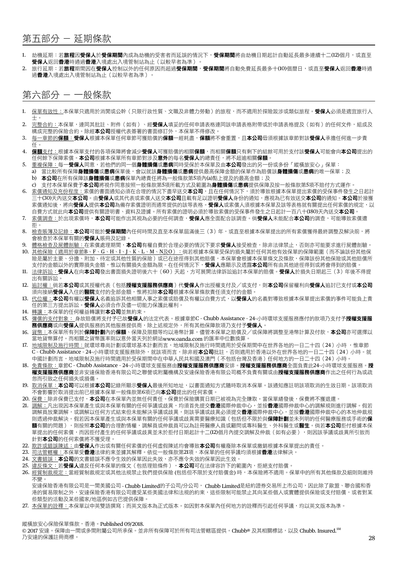## 第五部分 - 延期條款

- 1. 劫機延期:若**旅程因受保人於受保期間**內成為劫機的受害者而延誤的情況下,**受保期間**將由劫機日期起計自動延長最多連續十二(12)個月,或直至 受保人返回香港時通過香港入境處出入境管制站為止(以較早者為準)。
- 2. 旅行延期:若**旅程**期間因在**受保人**控制以外的任何原因而超過**受保期間,受保期間**將自動免費延長最多十(10)個曆日,或直至**受保人**返回**香港**時通 過香港入境處出入境管制站為止(以較早者為準)

## 第六部分 - 一般條款

- 1. 保單有效性:本保單只適用於消閒或公幹(只限行政性質、文職及非體力勞動)的旅程,而不適用於探險跋涉或類似旅程。**受保人**必須是滴官旅行人 士。
- 2. 完整合約:本保單,連同其批註、附件(如有)、經**受保人**填妥的任何申請表格連同該申請表格附帶或於申請表格提及(如有)的任何文件,組成及 構成完整的保險合約。除經本公司授權代表簽署的書面修訂外,本保單不得修改。
- 3. 每一章節的**保額:受保人**根據本保單任何章節可獲賠償的**保額**一經耗盡,**保額**將不會重置,且**本公司**毋須根據該章節對該**受保人**承擔任何進一步責 任。
- 4. 保額支付:根據本保單支付的各項保障將會減少**受保人**可獲賠償的相關**保額**,而相關**保額**只有剩下的結餘可用於支付該**受保人**可能會向**本公司**提出的 任何餘下保障索償。本公司根據本保單所有章節對涉及意外的每名受保人的總責任,將不超逾相關保額。
- 5. 重複保障:每一**受保人**同意,若他們的同一個**身體損傷**或**患病**同時受保於本保單及由**本公司**發出的另一份或多份「縱橫旅安心」保單:
- a) 當比較所有保障身體損傷或患病保單後,會以就該身體損傷或患病提供最高保障金額的保單作為賠償該身體損傷或患病的唯一保單;及 b) 本公司在所有保障該身體損傷或患病保單內總責任將為一般條款第5項內(a)點上提及的最高金額;及
- c) 支付本保單保費予本公司將視作同意按照一般條款第5項所載方式及範圍為身體損傷或患病提供保障及按一般條款第5項不賠付方式運作。
- 6. 索償通知及充份程度:索償的書面通知必須在合理的情況下盡早送交**本公司**,且在任何情況下,須於導致根據本保單提出索償的受保事件發生之日起計 ---------------------------------<br>三十(30)天內送交**本公司**。由**受保人**或其代表或索償人送交**本公司**且載有足以證明**受保人**身份的通知,應視為已有效送交**本公司**的通知。**本公司**於接獲 索償通知後,將向**受保人**提供**本公司**為備存索償證明而通常提供的該等表格。**受保人**或索償人須根據本保單及該等表格就有關提出任何索償的規定,以 自費方式就此向本公司提供有關證明書、資料及證據。所有索償的證明必須於導致索償的受保事件發生之日起計一百八十(180)天內送交本公司。
- 7. 索償調查:於出現索償時,本公司可能作出其視為必要的任何調查,受保人應全面配合該調查。倘受保人未能配合本公司的調查,可能導致索償遭 拒。
- 8. 檢查賬簿及記錄:本公司可能於受保期間內任何時間及直至本保單屆滿後三(3)年,或直至根據本保單提出的所有索償獲得最終調整及解決前,將 會檢查於本保單有關的**受保人**賬冊及記錄。
- 9. 體格檢查及屍體剖驗:在索償處理期間,**本公司**有權自費於合理必要的情況下要求**受保人**接受檢查,除非法律禁止,否則亦可能要求進行屍體剖驗。
- 10. 其他保險(適用於章節B、F、G、H、I、J、K、L、M、N及O):倘若根據本保單受保的損失屬於任何其他有效保單的保障範圍(而不論該份其他保 險是屬於主要、分擔、附加、待定或其他性質的保險)或已在途徑得到其他賠償,本保單會根據本保單條文及條款,保障該份其他保險或其他賠償所 支付的金額以外的實際損失金額,惟以有關損失金額為限。在任何情況下,**受保人**應顯示及透露**本公司**所有由其他途徑得到或將會得到的賠償。
- 11. 法律訴訟: 受保人在向本公司發出書面損失證明後六十 (60)天起,方可展開法律訴訟追討本保單的賠償。受保人於損失日期起三 (3)年後不得提 出有關訴訟。
- 12. 追討權:倘若**本公司**或其授權代表(包括**授權支援服務供應商**)代**受保人**作出授權支付及/或支付,則**本公司**保留權利向**受保人**追討已支付或**本公司** 須向接納受保人入住的醫院支付的全部金額,惟將扣除本公司根據本保單條款責任須支付的金額。
- 13. 代位權:本公司有權以受保人名義追訴其他相關人事之索償或賠償及有權以自費方式,以受保人的名義對導致根據本保單提出索償的事件可能負上責 任的第三方提出訴訟。**受保人**必須合作及儘一切能力保護此權利。
- 14. 轉讓:本保單的任何權益轉讓對本公司並無約束。
- 15. 彌償的支付對象: 身故賠償將支付予已故**受保人**的法定代表。根據章節C Chubb Assistance 24-小時環球支援服務應付的款項乃支付予**授權支援服** 5.<br>2012年12月19日,<br>第供應商或向受保人提供服務的其他服務提供商,除上述規定外,所有其他保障款項乃支付予受保人。
- 16. <u>貨幣:</u>本保單所有列於**保障計劃**內的**保額**、保障及限額等均以港幣計算。儘管本保單之賠償及/或保障將調整至港幣計算及付款,**本公司**亦可選擇以 當地貨幣算付。而相關之貨幣匯率則以意外當天列於網站www.oanda.com 的匯率中位數換算。
- 17. 地域限制及施行時間:就環球尊尚計劃或環球基本計劃而言,地域限制及施行時間適用於受保期間中在世界各地的一日二十四(24)小時 ,惟章節 C - Chubb Assistance - 24-小時環球支援服務除外,就該項而言,除非經本公司批註,否則適用於香港以外在世界各地的一日二十四(24)小時。就 中國計劃而言,地域限制及施行時間適用於受保期間中在中華人民共和國及澳門(不包括台灣及香港)任何地方的一日二十四(24)小時。
- 18. 免責條款: 章節C Chubb Assistance 24-小時環球支援服務由**授權支援服務供應商**安排。**授權支援服務供應商**全面負責此24-小時環球支援服務。**授** 權支援服務供應商並非安達保險香港有限公司之聯營或附屬機構及安達保險香港有限公司概不負責有關或由授權支援服務供應商作出之任何行為或疏 忽而引致之任何損失或損傷。
- 19. 取消保單:本公司可以根據本公司記錄所顯示受保人最後所知地址,以書面通知方式隨時取消本保單。該通知應註明該項取消的生效日期。該項取消 不會影響於取消提出前已根據本保單一般條款第6項已向本公司提出的任何索償。
- 20. <u>保費:</u>除非保費已支付,**本公司**在本保單內並無任何責任。保費於保險購買日期已被視為完全賺取。當保單繕發後,保費將不獲退還。
- 21. 調解:凡出現因本保單產生或與本保單有關的任何爭議或歧異,均須首先提交**香港**國際仲裁中心,並按**香港**國際仲裁中心的調解規則進行調解。假若 調解員放棄調解,或調解以任何方式結束但未能解決爭議或歧異,則該爭議或歧異必須提交**香港**國際仲裁中心,並按**香港**國際仲裁中心的本地仲裁規 則透過仲裁解決。假若因本保單產生或與本保單有關的任何爭議或歧異需要醫療知識 ( 包括但不限於與**保障計劃**並未列明的任何醫療服務或手術的**保 額**有關的問題),則按照**本公司**的合理酌情權,調解員或仲裁員可以為註冊醫療人員或顧問或專科醫生、外科醫生或**醫生**。倘若**本公司**拒付根據本保 單提出的任何索償,而因拒付產生的任何爭議或歧異並未於拒付日期起計十二(12)個月內提交調解及仲裁(如有必要),則因該爭議或歧異所引致而 針對本公司的任何索償將不獲受理。
- 22. 欺詐或錯誤陳述:由受保人作出或有關任何索償的任何虛假陳述均會導致本公司有權廢除本保單或撤銷根據本保單提出的責任。
- 23. 司法管轄權:本保單受**香港**法律約束並據其解釋。依從一般條款第21項,本保單的任何爭議均須根據**香港**法律解決。
- 24. 文書錯誤:本公司的文書錯誤不應令生效的保單因此失效,亦不應令失效的保單因此生效。
- 25. 違反條文:若受保人違反任何本保單的條文(包括理賠條件),本公司可在法律容許下的範圍內,拒絕支付賠償。
- 26. 經貿制裁規定:當經貿制裁規定或其他法規禁止我們提供保險 (包括但不限於支付賠償金) 時,本保險將不適用。保單中的所有其他條款及細則則維持 不變。
	- 安達保險香港有限公司是一間美國公司 Chubb Limited的子公司/分公司, Chubb Limited是紐約證券交易所上市公司,因此除了歐盟、聯合國和香 港的貿易限制之外,安達保險香港有限公司還受某些美國法律和法規的約束,這些限制可能禁止其向某些個人或實體提供保險或支付賠償,或者對某 些類型的活動及某些國家/地區例如古巴提供保障。
- 27. 本保單的詮釋:本保單以中英雙語撰寫;而英文版本為正式版本。如因對本保單內任何地方的詮釋而引起任何爭議,均以英文版本為準。

縱橫旅安心保險保單條款,香港。Published 09/2018.

© 2017 安達。保障由一間或多間附屬公司所承保。並非所有保障可於所有司法管轄區提供。Chubb® 及其相關標誌,以及 Chubb. Insured.<sup>SM</sup> 乃安達的保護註冊商標。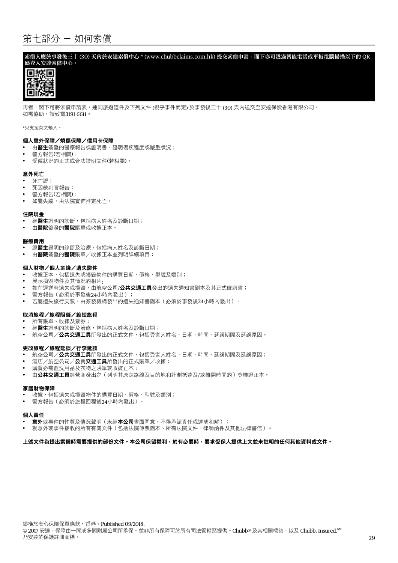## 第七部分 - 如何索償

索償人應於事發後三十 (30) 天內於安達索償中心 \* (www.chubbclaims.com.hk) 提交索償申請。閣下亦可透過智能電話或平板電腦掃描以下的 QR 碼登入安達索償中心。



再者,閣下可將索償申請表,連同旅遊證件及下列文件 (視乎事件而定) 於事發後三十 (30) 天內送交至安達保險香港有限公司。 如需協助,請致電3191 6611。

\*只支援英文輸入。

#### 個人意外保障/燒傷保障/信用卡保障

- 由**醫生**簽發的醫療報告或證明書,證明傷疾程度或嚴重狀況;
- 警方報告(若相關);
- • 受僱狀況的正式或合法證明文件(若相關)。

#### 意外死亡

- 死亡誇:
- • 死因裁判官報告;
- 警方報告(若相關);
- 如屬失蹤,由法院宣佈推定死亡。

#### 住院現金

- 經醫生證明的診斷,包括病人姓名及診斷日期;
- 由**醫院**簽發的**醫院**賬單或收據正本。

#### 醫療費用

- **經醫生**證明的診斷及治療,包括病人姓名及診斷日期;
- 由醫院簽發的醫院賬單/收據正本並列明詳細項目;

#### 個人財物/個人金錢/遺失證件

- 收據正本,包括遺失或損毀物件的購買日期、價格、型號及類別;
- • 展示損毀物件及其情況的相片;
- 如在運送時遺失或損毀,由航空公司/公共交通工具發出的遺失通知書副本及其正式確認書;
- 警方報告(必須於事發後24小時內發出);
- 若屬遺失旅行支票,由簽發機構發出的遺失通知書副本(必須於事發後24小時內發出)。

#### 取消旅程/旅程阻礙/縮短旅程

- 所有賬單、收據及票券;
- 經醫生證明的診斷及治療,包括病人姓名及診斷日期;
- 航空公司/**公共交通工具**所發出的正式文件,包括受害人姓名、日期、時間、延誤期間及延誤原因。

#### 更改旅程/旅程延誤/行李延誤

- 航空公司/**公共交通工具**所發出的正式文件,包括受害人姓名、日期、時間、延誤期間及延誤原因;
- 酒店/航空公司/公共交通工具所發出的正式賬單/收據;
- 購買必需盥洗用品及衣物之賬單或收據正本;
- **•**  由公共交通工具經營商發出之(列明其原定路線及目的地和計劃抵達及/或離開時間的)登機證正本。

#### 家居財物保障

- 收據,包括遺失或損毀物件的購買日期、價格、型號及類別;
- • 警方報告(必須於旅程回程後24小時內發出)。

#### 個人責任

- **意外**或事件的性質及情況聲明(未經**本公司**書面同意,不得承認責任或達成和解);
- • 就意外或事件接收的所有有關文件(包括法院傳票副本、所有法院文件、律師函件及其他法律書信)。

#### 上述文件為提出索償時需要提供的部份文件。本公司保留權利,於有必要時,要求受保人提供上文並未註明的任何其他資料或文件。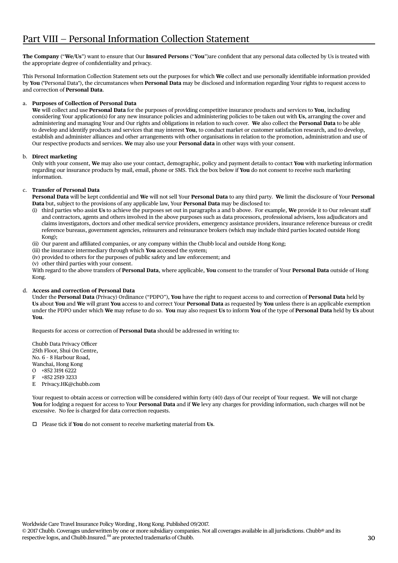**The Company** ("**We/Us**") want to ensure that Our **Insured Persons** ("**You**")are confident that any personal data collected by Us is treated with the appropriate degree of confidentiality and privacy.

This Personal Information Collection Statement sets out the purposes for which **We** collect and use personally identifiable information provided by **You** ("Personal Data"), the circumstances when **Personal Data** may be disclosed and information regarding Your rights to request access to and correction of **Personal Data**.

## a. **Purposes of Collection of Personal Data**

 **We** will collect and use **Personal Data** for the purposes of providing competitive insurance products and services to **You**, including considering Your application(s) for any new insurance policies and administering policies to be taken out with **Us**, arranging the cover and administering and managing Your and Our rights and obligations in relation to such cover. **We** also collect the **Personal Data** to be able to develop and identify products and services that may interest **You**, to conduct market or customer satisfaction research, and to develop, establish and administer alliances and other arrangements with other organisations in relation to the promotion, administration and use of Our respective products and services. **We** may also use your **Personal data** in other ways with your consent.

## b. **Direct marketing**

 Only with your consent, **We** may also use your contact, demographic, policy and payment details to contact **You** with marketing information regarding our insurance products by mail, email, phone or SMS. Tick the box below if **You** do not consent to receive such marketing information.

## c. **Transfer of Personal Data**

 **Personal Data** will be kept confidential and **We** will not sell Your **Personal Data** to any third party. **We** limit the disclosure of Your **Personal Data** but, subject to the provisions of any applicable law, Your **Personal Data** may be disclosed to:

- (i) third parties who assist **Us** to achieve the purposes set out in paragraphs a and b above. For example, **We** provide it to Our relevant staff and contractors, agents and others involved in the above purposes such as data processors, professional advisers, loss adjudicators and claims investigators, doctors and other medical service providers, emergency assistance providers, insurance reference bureaus or credit reference bureaus, government agencies, reinsurers and reinsurance brokers (which may include third parties located outside Hong Kong);
- (ii) Our parent and affiliated companies, or any company within the Chubb local and outside Hong Kong;
- (iii) the insurance intermediary through which **You** accessed the system;
- (iv) provided to others for the purposes of public safety and law enforcement; and

(v) other third parties with your consent.

 With regard to the above transfers of **Personal Data**, where applicable, **You** consent to the transfer of Your **Personal Data** outside of Hong Kong.

## d. **Access and correction of Personal Data**

 Under the **Personal Data** (Privacy) Ordinance ("PDPO"), **You** have the right to request access to and correction of **Personal Data** held by **Us** about **You** and **We** will grant **You** access to and correct Your **Personal Data** as requested by **You** unless there is an applicable exemption under the PDPO under which **We** may refuse to do so. **You** may also request **Us** to inform **You** of the type of **Personal Data** held by **Us** about **You**.

Requests for access or correction of **Personal Data** should be addressed in writing to:

Chubb Data Privacy Officer 25th Floor, Shui On Centre, No. 6 – 8 Harbour Road, Wanchai, Hong Kong O +852 3191 6222 F +852 2519 3233 E Privacy.HK@chubb.com

 Your request to obtain access or correction will be considered within forty (40) days of Our receipt of Your request. **We** will not charge **You** for lodging a request for access to Your **Personal Data** and if **We** levy any charges for providing information, such charges will not be excessive. No fee is charged for data correction requests.

 Please tick if **You** do not consent to receive marketing material from **Us**.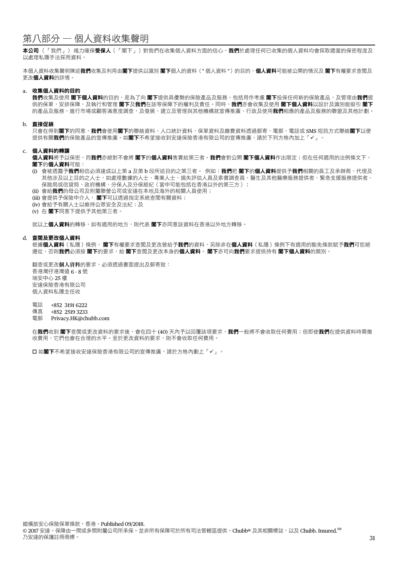## 第八部分 — 個人資料收集聲明

本公司(「我們」)竭力確保受保人(「閣下」)對我們在收集個人資料方面的信心,我們於處理任何已收集的個人資料均會採取適當的保密程度及 以處理私隱手法採用資料。

本個人資料收集聲明陳述**我們**收集及利用由閣下提供以識別 閣下個人的資料 ( " 個人資料 " ) 的目的、個人資料可能被公開的情況及 閣下有權要求查閲及 更改個人資料的詳情。

#### a. 收集個人資料的目的

我們收集及使用 閣下個人資料的目的,是為了向 閣下提供具優勢的保險產品及服務,包括用作考慮 閣下投保任何新的保險產品,及管理由我們提 供的保單,安排保障,及執行和管理 閣下及我們在該等保障下的權利及責任。同時,我們亦會收集及使用 閣下個人資料以設計及識別能吸引 閣下 的產品及服務,進行市場或顧客滿意度調查,及發展、建立及管理與其他機構就宣傳推廣、行政及使用**我們**相應的產品及服務的聯盟及其他計劃。

#### b. 直接促銷

只會在得到**閣下**的同意,**我們**會使用**閣下**的聯絡資料、人口統計資料、保單資料及繳費資料透過郵寄、電郵、電話或 SMS 短訊方式聯絡**閣下**以便 提供有關我們的保險產品的宣傳推廣。如閣下不希望接收到安達保險香港有限公司的宣傳推廣,請於下列方格內加上「√」。

#### c. 個人資料的轉讓

個人資料將予以保密,而我們亦絕對不會將 閣下的個人資料售賣給第三者。我們會對公開 閣下個人資料作出限定;但在任何適用的法例條文下, 閣下的個人資料可能:

- (i) 會被透露予我們相信必須達成以上第 a 及第 b 段所述目的之第三者。 例如:我們把 閣下的個人資料提供予我們相關的員工及承辦商、代理及 其他涉及以上目的之人士,如處理數據的人士、專業人士、損失評估人員及索償調查員、醫生及其他醫療服務提供者、緊急支援服務提供者、 保險局或信貸局、政府機構、分保人及分保經紀(當中可能包括在香港以外的第三方);
- (ii) 會給我們的母公司及附屬聯營公司或安達在本地及海外的相關人員使用;
- (iii) 會提供予保險中介人, 閣下可以透過指定系統查閱有關資料;
- (iv) 會給予有關人士以維持公眾安全及法紀;及
- (v) 在 閣下同意下提供予其他第三者。

就以上個人資料的轉移,如有適用的地方,則代表 閣下亦同意該資料在香港以外地方轉移。

#### d. 查閱及更改個人資料

根據個人資料(私隱)條例, 閣下有權要求查閱及更改曾給予我們的資料,另除非在個人資料 ( 私隱 ) 條例下有適用的豁免條款賦予我們可拒絕 遵從,否則**我們**必須按 閣下的要求,給 閣下查閲及更改本身的**個人資料**。 閣下亦可向**我們**要求提供持有 閣下個人資料的類別。

翻查或更改個人資料的要求,必須透過書面提出及郵寄致: 香港灣仔港灣道 6 - 8 號 瑞安中心 25 樓 安達保險香港有限公司 個人資料私隱主任收

- 電話 +852 3191 6222
- 傳真 +852 2519 3233
- 電郵 Privacy.HK@chubb.com

在我們收到 閣下查閲或更改資料的要求後,會在四十 (40) 天內予以回覆該項要求,我們一般將不會收取任何費用;但即使我們在提供資料時需徵 收費用,它們也會在合理的水平。至於更改資料的要求,則不會收取任何費用。

□ 如閣下不希望接收安達保險香港有限公司的宣傳推廣,請於方格內劃上「✔」。